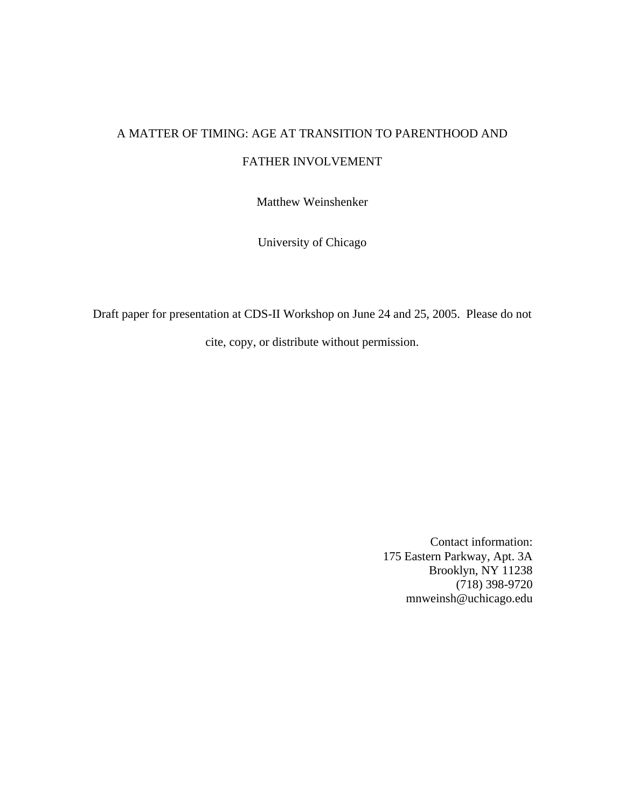# A MATTER OF TIMING: AGE AT TRANSITION TO PARENTHOOD AND FATHER INVOLVEMENT

Matthew Weinshenker

University of Chicago

Draft paper for presentation at CDS-II Workshop on June 24 and 25, 2005. Please do not cite, copy, or distribute without permission.

> Contact information: 175 Eastern Parkway, Apt. 3A Brooklyn, NY 11238 (718) 398-9720 mnweinsh@uchicago.edu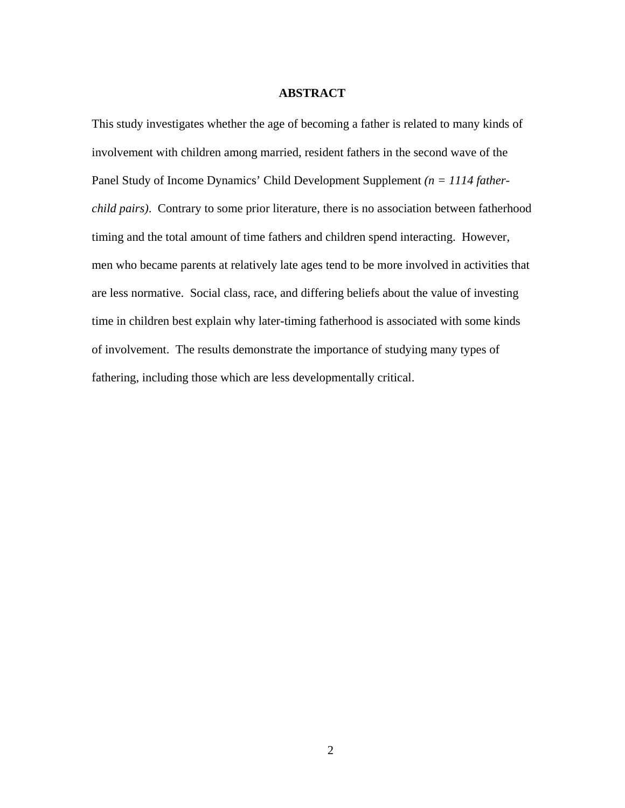## **ABSTRACT**

This study investigates whether the age of becoming a father is related to many kinds of involvement with children among married, resident fathers in the second wave of the Panel Study of Income Dynamics' Child Development Supplement *(n = 1114 fatherchild pairs)*. Contrary to some prior literature, there is no association between fatherhood timing and the total amount of time fathers and children spend interacting. However, men who became parents at relatively late ages tend to be more involved in activities that are less normative. Social class, race, and differing beliefs about the value of investing time in children best explain why later-timing fatherhood is associated with some kinds of involvement. The results demonstrate the importance of studying many types of fathering, including those which are less developmentally critical.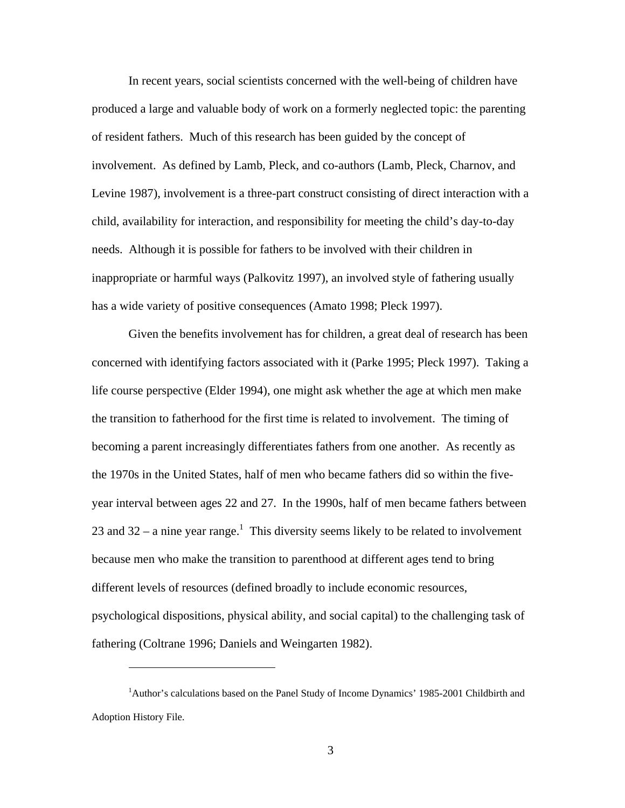In recent years, social scientists concerned with the well-being of children have produced a large and valuable body of work on a formerly neglected topic: the parenting of resident fathers. Much of this research has been guided by the concept of involvement. As defined by Lamb, Pleck, and co-authors (Lamb, Pleck, Charnov, and Levine 1987), involvement is a three-part construct consisting of direct interaction with a child, availability for interaction, and responsibility for meeting the child's day-to-day needs. Although it is possible for fathers to be involved with their children in inappropriate or harmful ways (Palkovitz 1997), an involved style of fathering usually has a wide variety of positive consequences (Amato 1998; Pleck 1997).

Given the benefits involvement has for children, a great deal of research has been concerned with identifying factors associated with it (Parke 1995; Pleck 1997). Taking a life course perspective (Elder 1994), one might ask whether the age at which men make the transition to fatherhood for the first time is related to involvement. The timing of becoming a parent increasingly differentiates fathers from one another. As recently as the 1970s in the United States, half of men who became fathers did so within the fiveyear interval between ages 22 and 27. In the 1990s, half of men became fathers between 23 and  $32 - a$  nine year range.<sup>[1](#page-2-0)</sup> This diversity seems likely to be related to involvement because men who make the transition to parenthood at different ages tend to bring different levels of resources (defined broadly to include economic resources, psychological dispositions, physical ability, and social capital) to the challenging task of fathering (Coltrane 1996; Daniels and Weingarten 1982).

<span id="page-2-0"></span> $\overline{a}$ 

<sup>&</sup>lt;sup>1</sup>Author's calculations based on the Panel Study of Income Dynamics' 1985-2001 Childbirth and Adoption History File.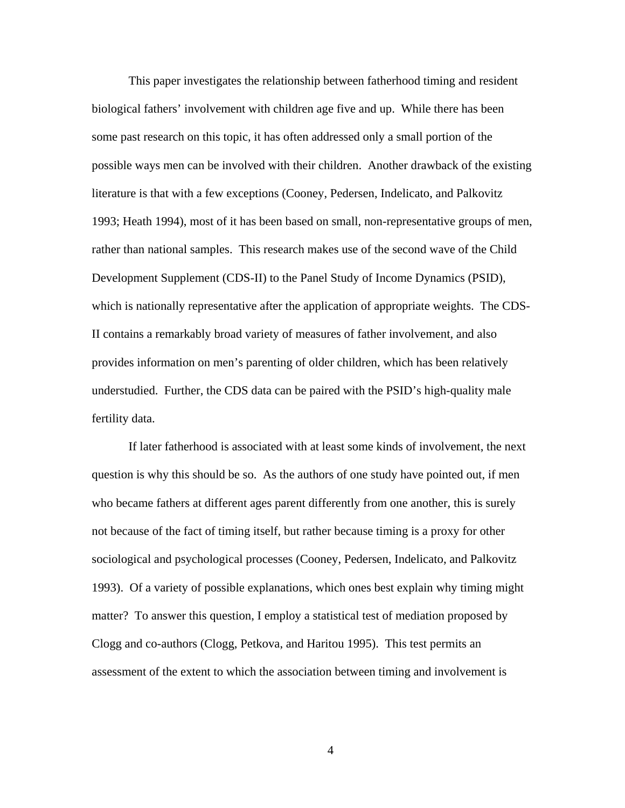This paper investigates the relationship between fatherhood timing and resident biological fathers' involvement with children age five and up. While there has been some past research on this topic, it has often addressed only a small portion of the possible ways men can be involved with their children. Another drawback of the existing literature is that with a few exceptions (Cooney, Pedersen, Indelicato, and Palkovitz 1993; Heath 1994), most of it has been based on small, non-representative groups of men, rather than national samples. This research makes use of the second wave of the Child Development Supplement (CDS-II) to the Panel Study of Income Dynamics (PSID), which is nationally representative after the application of appropriate weights. The CDS-II contains a remarkably broad variety of measures of father involvement, and also provides information on men's parenting of older children, which has been relatively understudied. Further, the CDS data can be paired with the PSID's high-quality male fertility data.

If later fatherhood is associated with at least some kinds of involvement, the next question is why this should be so. As the authors of one study have pointed out, if men who became fathers at different ages parent differently from one another, this is surely not because of the fact of timing itself, but rather because timing is a proxy for other sociological and psychological processes (Cooney, Pedersen, Indelicato, and Palkovitz 1993). Of a variety of possible explanations, which ones best explain why timing might matter? To answer this question, I employ a statistical test of mediation proposed by Clogg and co-authors (Clogg, Petkova, and Haritou 1995). This test permits an assessment of the extent to which the association between timing and involvement is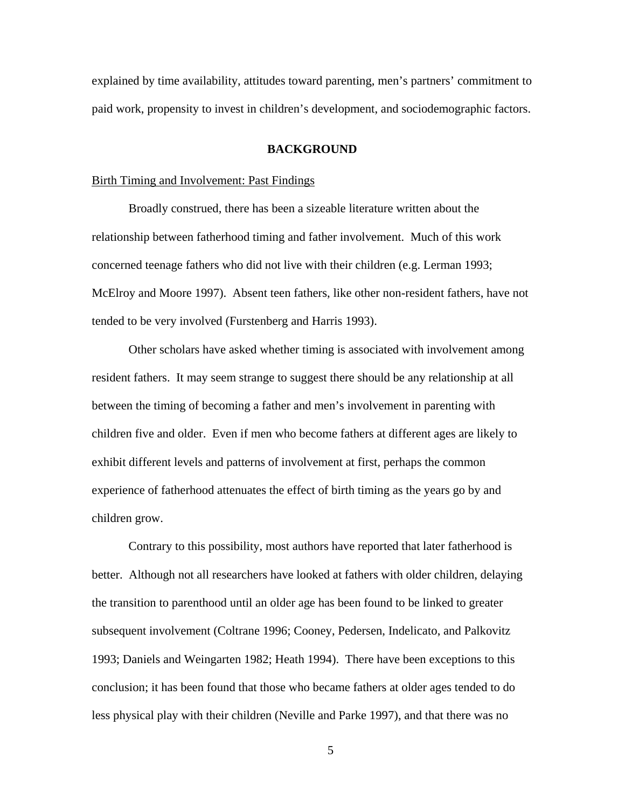explained by time availability, attitudes toward parenting, men's partners' commitment to paid work, propensity to invest in children's development, and sociodemographic factors.

## **BACKGROUND**

## Birth Timing and Involvement: Past Findings

Broadly construed, there has been a sizeable literature written about the relationship between fatherhood timing and father involvement. Much of this work concerned teenage fathers who did not live with their children (e.g. Lerman 1993; McElroy and Moore 1997). Absent teen fathers, like other non-resident fathers, have not tended to be very involved (Furstenberg and Harris 1993).

Other scholars have asked whether timing is associated with involvement among resident fathers. It may seem strange to suggest there should be any relationship at all between the timing of becoming a father and men's involvement in parenting with children five and older. Even if men who become fathers at different ages are likely to exhibit different levels and patterns of involvement at first, perhaps the common experience of fatherhood attenuates the effect of birth timing as the years go by and children grow.

Contrary to this possibility, most authors have reported that later fatherhood is better. Although not all researchers have looked at fathers with older children, delaying the transition to parenthood until an older age has been found to be linked to greater subsequent involvement (Coltrane 1996; Cooney, Pedersen, Indelicato, and Palkovitz 1993; Daniels and Weingarten 1982; Heath 1994). There have been exceptions to this conclusion; it has been found that those who became fathers at older ages tended to do less physical play with their children (Neville and Parke 1997), and that there was no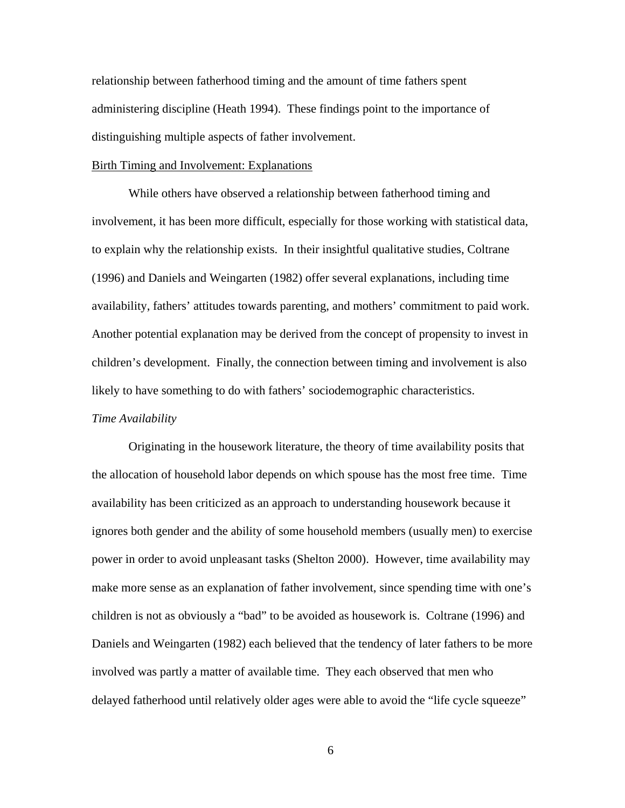relationship between fatherhood timing and the amount of time fathers spent administering discipline (Heath 1994). These findings point to the importance of distinguishing multiple aspects of father involvement.

## Birth Timing and Involvement: Explanations

While others have observed a relationship between fatherhood timing and involvement, it has been more difficult, especially for those working with statistical data, to explain why the relationship exists. In their insightful qualitative studies, Coltrane (1996) and Daniels and Weingarten (1982) offer several explanations, including time availability, fathers' attitudes towards parenting, and mothers' commitment to paid work. Another potential explanation may be derived from the concept of propensity to invest in children's development. Finally, the connection between timing and involvement is also likely to have something to do with fathers' sociodemographic characteristics.

### *Time Availability*

Originating in the housework literature, the theory of time availability posits that the allocation of household labor depends on which spouse has the most free time. Time availability has been criticized as an approach to understanding housework because it ignores both gender and the ability of some household members (usually men) to exercise power in order to avoid unpleasant tasks (Shelton 2000). However, time availability may make more sense as an explanation of father involvement, since spending time with one's children is not as obviously a "bad" to be avoided as housework is. Coltrane (1996) and Daniels and Weingarten (1982) each believed that the tendency of later fathers to be more involved was partly a matter of available time. They each observed that men who delayed fatherhood until relatively older ages were able to avoid the "life cycle squeeze"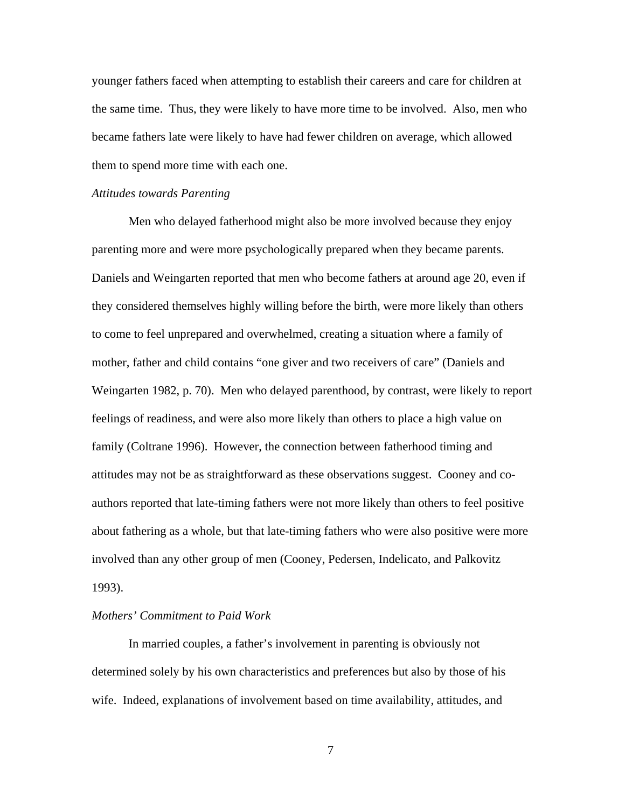younger fathers faced when attempting to establish their careers and care for children at the same time. Thus, they were likely to have more time to be involved. Also, men who became fathers late were likely to have had fewer children on average, which allowed them to spend more time with each one.

#### *Attitudes towards Parenting*

Men who delayed fatherhood might also be more involved because they enjoy parenting more and were more psychologically prepared when they became parents. Daniels and Weingarten reported that men who become fathers at around age 20, even if they considered themselves highly willing before the birth, were more likely than others to come to feel unprepared and overwhelmed, creating a situation where a family of mother, father and child contains "one giver and two receivers of care" (Daniels and Weingarten 1982, p. 70). Men who delayed parenthood, by contrast, were likely to report feelings of readiness, and were also more likely than others to place a high value on family (Coltrane 1996). However, the connection between fatherhood timing and attitudes may not be as straightforward as these observations suggest. Cooney and coauthors reported that late-timing fathers were not more likely than others to feel positive about fathering as a whole, but that late-timing fathers who were also positive were more involved than any other group of men (Cooney, Pedersen, Indelicato, and Palkovitz 1993).

# *Mothers' Commitment to Paid Work*

In married couples, a father's involvement in parenting is obviously not determined solely by his own characteristics and preferences but also by those of his wife. Indeed, explanations of involvement based on time availability, attitudes, and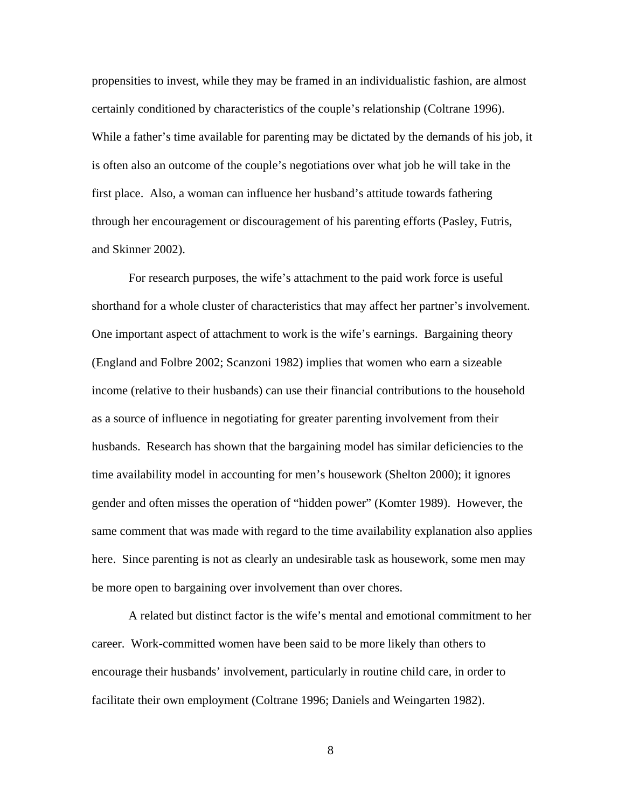propensities to invest, while they may be framed in an individualistic fashion, are almost certainly conditioned by characteristics of the couple's relationship (Coltrane 1996). While a father's time available for parenting may be dictated by the demands of his job, it is often also an outcome of the couple's negotiations over what job he will take in the first place. Also, a woman can influence her husband's attitude towards fathering through her encouragement or discouragement of his parenting efforts (Pasley, Futris, and Skinner 2002).

For research purposes, the wife's attachment to the paid work force is useful shorthand for a whole cluster of characteristics that may affect her partner's involvement. One important aspect of attachment to work is the wife's earnings. Bargaining theory (England and Folbre 2002; Scanzoni 1982) implies that women who earn a sizeable income (relative to their husbands) can use their financial contributions to the household as a source of influence in negotiating for greater parenting involvement from their husbands. Research has shown that the bargaining model has similar deficiencies to the time availability model in accounting for men's housework (Shelton 2000); it ignores gender and often misses the operation of "hidden power" (Komter 1989). However, the same comment that was made with regard to the time availability explanation also applies here. Since parenting is not as clearly an undesirable task as housework, some men may be more open to bargaining over involvement than over chores.

A related but distinct factor is the wife's mental and emotional commitment to her career. Work-committed women have been said to be more likely than others to encourage their husbands' involvement, particularly in routine child care, in order to facilitate their own employment (Coltrane 1996; Daniels and Weingarten 1982).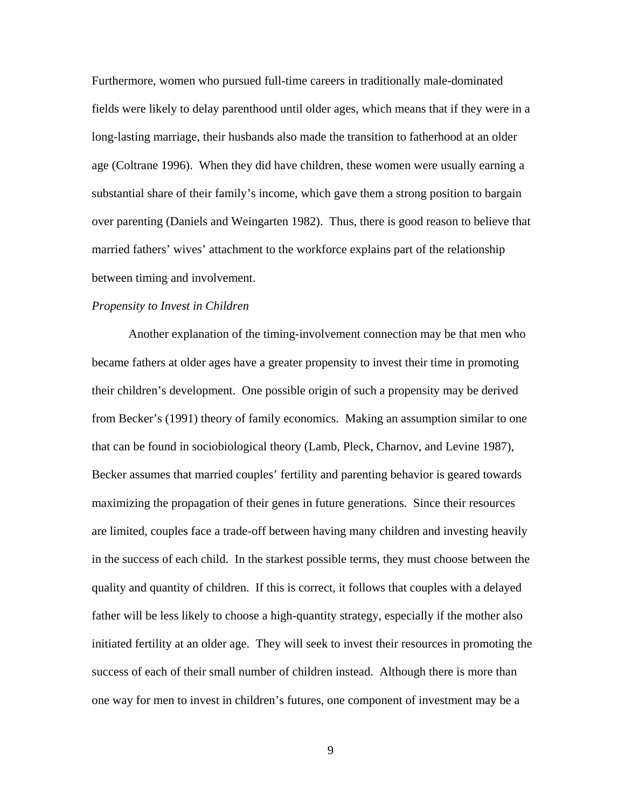Furthermore, women who pursued full-time careers in traditionally male-dominated fields were likely to delay parenthood until older ages, which means that if they were in a long-lasting marriage, their husbands also made the transition to fatherhood at an older age (Coltrane 1996). When they did have children, these women were usually earning a substantial share of their family's income, which gave them a strong position to bargain over parenting (Daniels and Weingarten 1982). Thus, there is good reason to believe that married fathers' wives' attachment to the workforce explains part of the relationship between timing and involvement.

## *Propensity to Invest in Children*

Another explanation of the timing-involvement connection may be that men who became fathers at older ages have a greater propensity to invest their time in promoting their children's development. One possible origin of such a propensity may be derived from Becker's (1991) theory of family economics. Making an assumption similar to one that can be found in sociobiological theory (Lamb, Pleck, Charnov, and Levine 1987), Becker assumes that married couples' fertility and parenting behavior is geared towards maximizing the propagation of their genes in future generations. Since their resources are limited, couples face a trade-off between having many children and investing heavily in the success of each child. In the starkest possible terms, they must choose between the quality and quantity of children. If this is correct, it follows that couples with a delayed father will be less likely to choose a high-quantity strategy, especially if the mother also initiated fertility at an older age. They will seek to invest their resources in promoting the success of each of their small number of children instead. Although there is more than one way for men to invest in children's futures, one component of investment may be a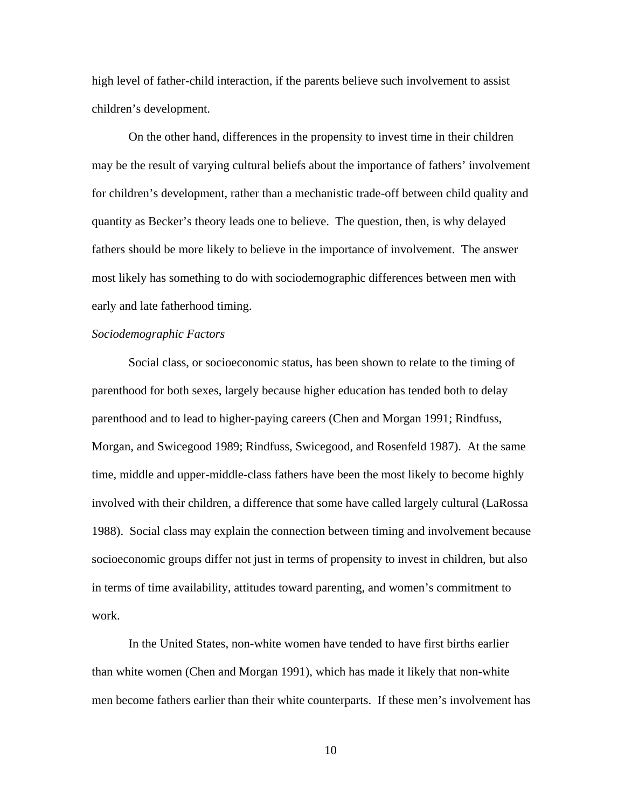high level of father-child interaction, if the parents believe such involvement to assist children's development.

On the other hand, differences in the propensity to invest time in their children may be the result of varying cultural beliefs about the importance of fathers' involvement for children's development, rather than a mechanistic trade-off between child quality and quantity as Becker's theory leads one to believe. The question, then, is why delayed fathers should be more likely to believe in the importance of involvement. The answer most likely has something to do with sociodemographic differences between men with early and late fatherhood timing.

## *Sociodemographic Factors*

Social class, or socioeconomic status, has been shown to relate to the timing of parenthood for both sexes, largely because higher education has tended both to delay parenthood and to lead to higher-paying careers (Chen and Morgan 1991; Rindfuss, Morgan, and Swicegood 1989; Rindfuss, Swicegood, and Rosenfeld 1987). At the same time, middle and upper-middle-class fathers have been the most likely to become highly involved with their children, a difference that some have called largely cultural (LaRossa 1988). Social class may explain the connection between timing and involvement because socioeconomic groups differ not just in terms of propensity to invest in children, but also in terms of time availability, attitudes toward parenting, and women's commitment to work.

In the United States, non-white women have tended to have first births earlier than white women (Chen and Morgan 1991), which has made it likely that non-white men become fathers earlier than their white counterparts. If these men's involvement has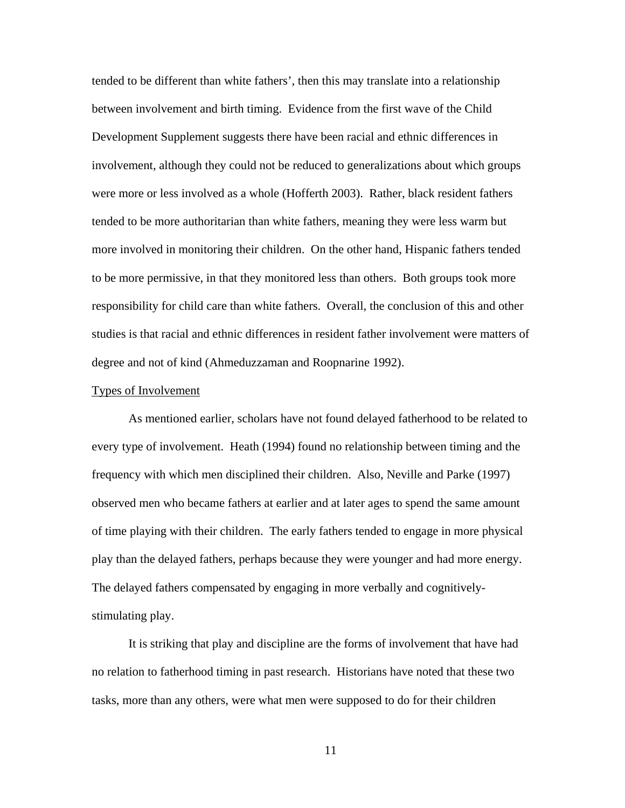tended to be different than white fathers', then this may translate into a relationship between involvement and birth timing. Evidence from the first wave of the Child Development Supplement suggests there have been racial and ethnic differences in involvement, although they could not be reduced to generalizations about which groups were more or less involved as a whole (Hofferth 2003). Rather, black resident fathers tended to be more authoritarian than white fathers, meaning they were less warm but more involved in monitoring their children. On the other hand, Hispanic fathers tended to be more permissive, in that they monitored less than others. Both groups took more responsibility for child care than white fathers. Overall, the conclusion of this and other studies is that racial and ethnic differences in resident father involvement were matters of degree and not of kind (Ahmeduzzaman and Roopnarine 1992).

#### Types of Involvement

As mentioned earlier, scholars have not found delayed fatherhood to be related to every type of involvement. Heath (1994) found no relationship between timing and the frequency with which men disciplined their children. Also, Neville and Parke (1997) observed men who became fathers at earlier and at later ages to spend the same amount of time playing with their children. The early fathers tended to engage in more physical play than the delayed fathers, perhaps because they were younger and had more energy. The delayed fathers compensated by engaging in more verbally and cognitivelystimulating play.

It is striking that play and discipline are the forms of involvement that have had no relation to fatherhood timing in past research. Historians have noted that these two tasks, more than any others, were what men were supposed to do for their children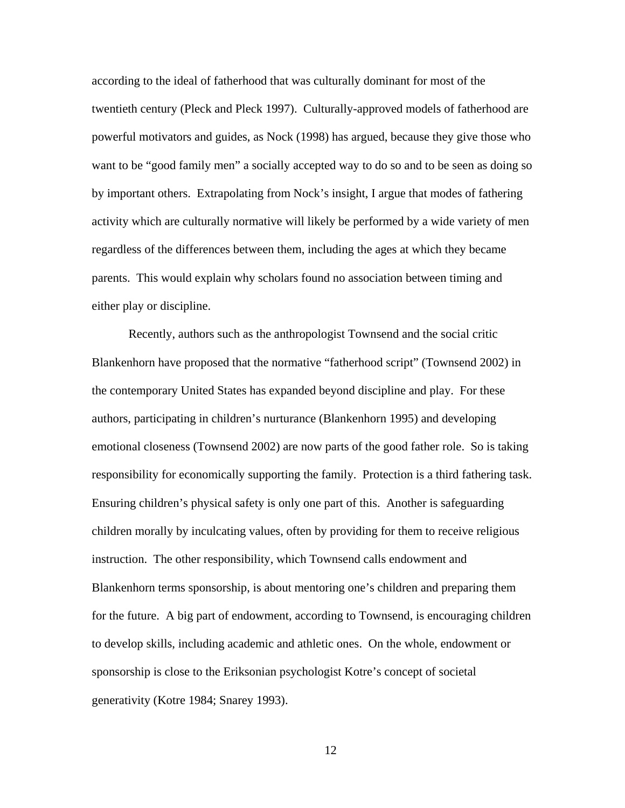according to the ideal of fatherhood that was culturally dominant for most of the twentieth century (Pleck and Pleck 1997). Culturally-approved models of fatherhood are powerful motivators and guides, as Nock (1998) has argued, because they give those who want to be "good family men" a socially accepted way to do so and to be seen as doing so by important others. Extrapolating from Nock's insight, I argue that modes of fathering activity which are culturally normative will likely be performed by a wide variety of men regardless of the differences between them, including the ages at which they became parents. This would explain why scholars found no association between timing and either play or discipline.

Recently, authors such as the anthropologist Townsend and the social critic Blankenhorn have proposed that the normative "fatherhood script" (Townsend 2002) in the contemporary United States has expanded beyond discipline and play. For these authors, participating in children's nurturance (Blankenhorn 1995) and developing emotional closeness (Townsend 2002) are now parts of the good father role. So is taking responsibility for economically supporting the family. Protection is a third fathering task. Ensuring children's physical safety is only one part of this. Another is safeguarding children morally by inculcating values, often by providing for them to receive religious instruction. The other responsibility, which Townsend calls endowment and Blankenhorn terms sponsorship, is about mentoring one's children and preparing them for the future. A big part of endowment, according to Townsend, is encouraging children to develop skills, including academic and athletic ones. On the whole, endowment or sponsorship is close to the Eriksonian psychologist Kotre's concept of societal generativity (Kotre 1984; Snarey 1993).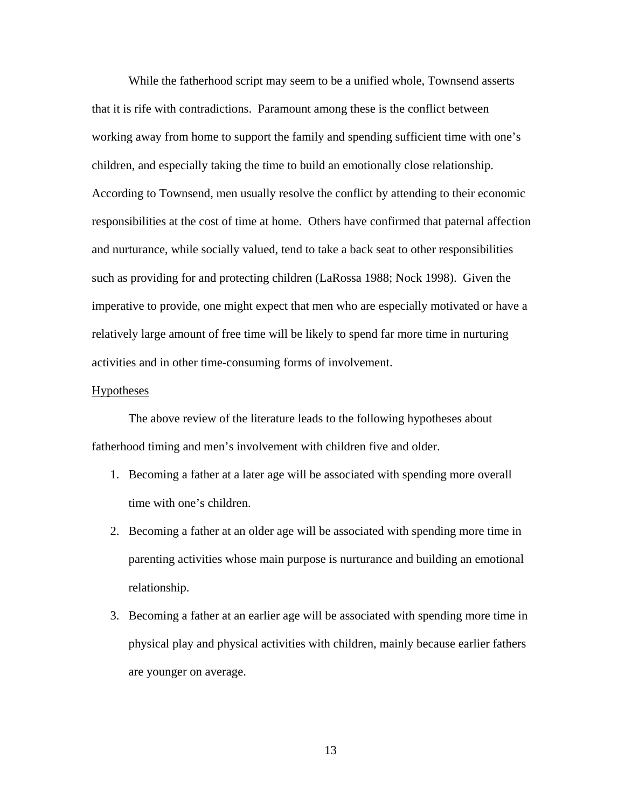While the fatherhood script may seem to be a unified whole, Townsend asserts that it is rife with contradictions. Paramount among these is the conflict between working away from home to support the family and spending sufficient time with one's children, and especially taking the time to build an emotionally close relationship. According to Townsend, men usually resolve the conflict by attending to their economic responsibilities at the cost of time at home. Others have confirmed that paternal affection and nurturance, while socially valued, tend to take a back seat to other responsibilities such as providing for and protecting children (LaRossa 1988; Nock 1998). Given the imperative to provide, one might expect that men who are especially motivated or have a relatively large amount of free time will be likely to spend far more time in nurturing activities and in other time-consuming forms of involvement.

#### **Hypotheses**

The above review of the literature leads to the following hypotheses about fatherhood timing and men's involvement with children five and older.

- 1. Becoming a father at a later age will be associated with spending more overall time with one's children.
- 2. Becoming a father at an older age will be associated with spending more time in parenting activities whose main purpose is nurturance and building an emotional relationship.
- 3. Becoming a father at an earlier age will be associated with spending more time in physical play and physical activities with children, mainly because earlier fathers are younger on average.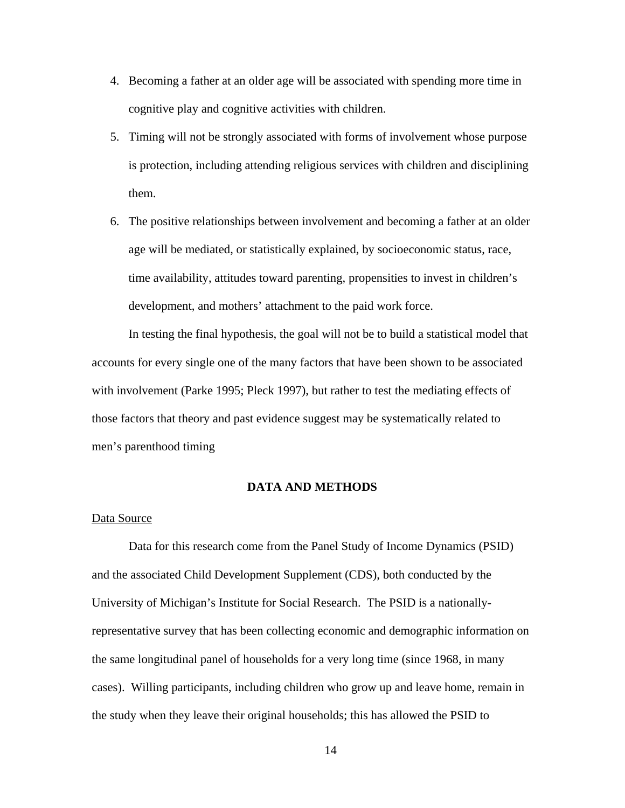- 4. Becoming a father at an older age will be associated with spending more time in cognitive play and cognitive activities with children.
- 5. Timing will not be strongly associated with forms of involvement whose purpose is protection, including attending religious services with children and disciplining them.
- 6. The positive relationships between involvement and becoming a father at an older age will be mediated, or statistically explained, by socioeconomic status, race, time availability, attitudes toward parenting, propensities to invest in children's development, and mothers' attachment to the paid work force.

In testing the final hypothesis, the goal will not be to build a statistical model that accounts for every single one of the many factors that have been shown to be associated with involvement (Parke 1995; Pleck 1997), but rather to test the mediating effects of those factors that theory and past evidence suggest may be systematically related to men's parenthood timing

## **DATA AND METHODS**

# Data Source

Data for this research come from the Panel Study of Income Dynamics (PSID) and the associated Child Development Supplement (CDS), both conducted by the University of Michigan's Institute for Social Research. The PSID is a nationallyrepresentative survey that has been collecting economic and demographic information on the same longitudinal panel of households for a very long time (since 1968, in many cases). Willing participants, including children who grow up and leave home, remain in the study when they leave their original households; this has allowed the PSID to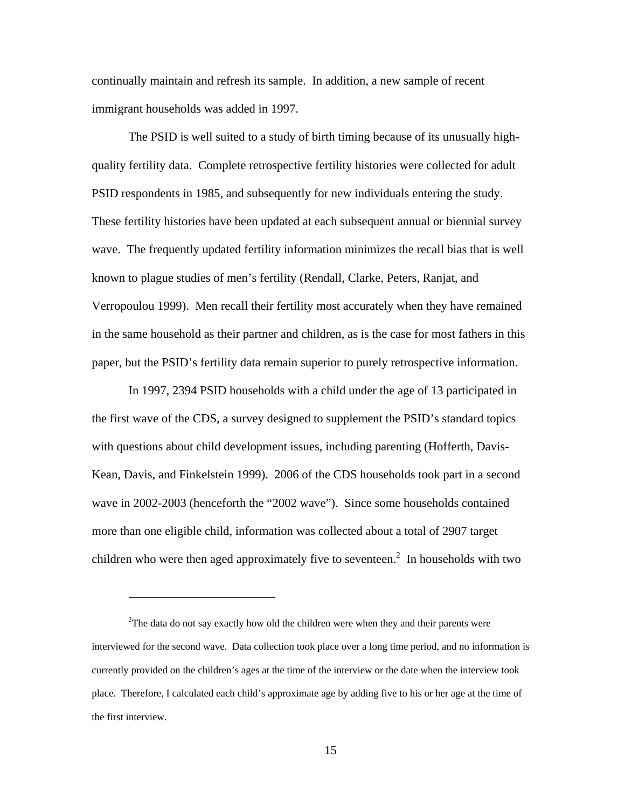continually maintain and refresh its sample. In addition, a new sample of recent immigrant households was added in 1997.

The PSID is well suited to a study of birth timing because of its unusually highquality fertility data. Complete retrospective fertility histories were collected for adult PSID respondents in 1985, and subsequently for new individuals entering the study. These fertility histories have been updated at each subsequent annual or biennial survey wave. The frequently updated fertility information minimizes the recall bias that is well known to plague studies of men's fertility (Rendall, Clarke, Peters, Ranjat, and Verropoulou 1999). Men recall their fertility most accurately when they have remained in the same household as their partner and children, as is the case for most fathers in this paper, but the PSID's fertility data remain superior to purely retrospective information.

In 1997, 2394 PSID households with a child under the age of 13 participated in the first wave of the CDS, a survey designed to supplement the PSID's standard topics with questions about child development issues, including parenting (Hofferth, Davis-Kean, Davis, and Finkelstein 1999). 2006 of the CDS households took part in a second wave in 2002-2003 (henceforth the "2002 wave"). Since some households contained more than one eligible child, information was collected about a total of 2907 target children who were then aged approximately five to seventeen.<sup>[2](#page-14-0)</sup> In households with two

<span id="page-14-0"></span> $2^2$ The data do not say exactly how old the children were when they and their parents were interviewed for the second wave. Data collection took place over a long time period, and no information is currently provided on the children's ages at the time of the interview or the date when the interview took place. Therefore, I calculated each child's approximate age by adding five to his or her age at the time of the first interview.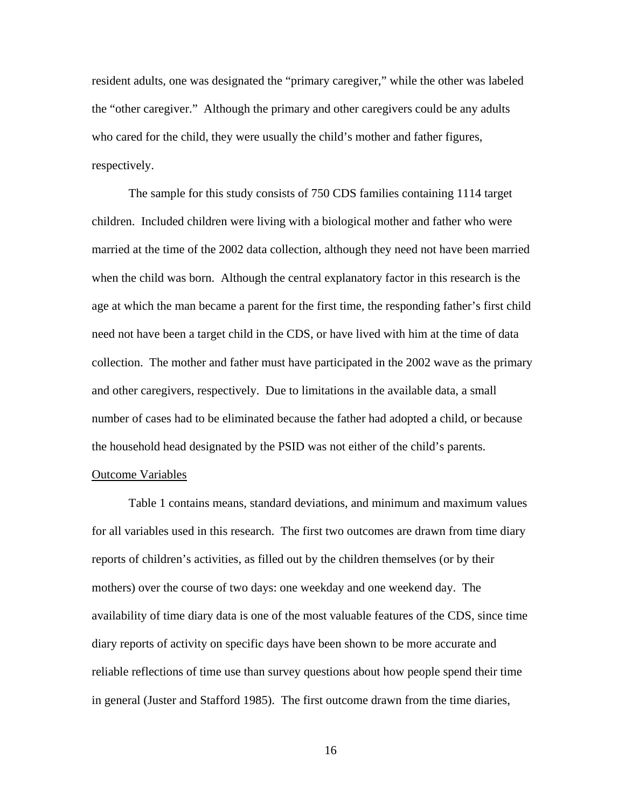resident adults, one was designated the "primary caregiver," while the other was labeled the "other caregiver." Although the primary and other caregivers could be any adults who cared for the child, they were usually the child's mother and father figures, respectively.

The sample for this study consists of 750 CDS families containing 1114 target children. Included children were living with a biological mother and father who were married at the time of the 2002 data collection, although they need not have been married when the child was born. Although the central explanatory factor in this research is the age at which the man became a parent for the first time, the responding father's first child need not have been a target child in the CDS, or have lived with him at the time of data collection. The mother and father must have participated in the 2002 wave as the primary and other caregivers, respectively. Due to limitations in the available data, a small number of cases had to be eliminated because the father had adopted a child, or because the household head designated by the PSID was not either of the child's parents.

## Outcome Variables

Table 1 contains means, standard deviations, and minimum and maximum values for all variables used in this research. The first two outcomes are drawn from time diary reports of children's activities, as filled out by the children themselves (or by their mothers) over the course of two days: one weekday and one weekend day. The availability of time diary data is one of the most valuable features of the CDS, since time diary reports of activity on specific days have been shown to be more accurate and reliable reflections of time use than survey questions about how people spend their time in general (Juster and Stafford 1985). The first outcome drawn from the time diaries,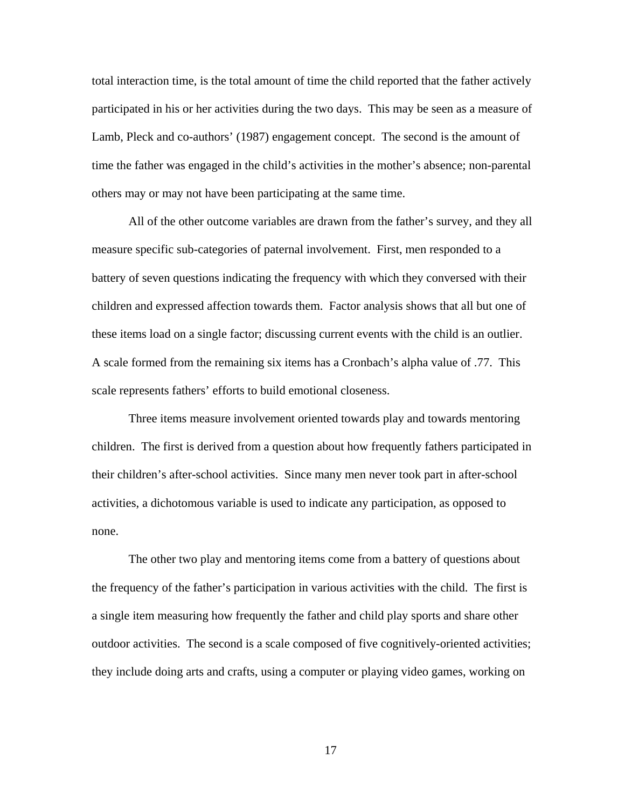total interaction time, is the total amount of time the child reported that the father actively participated in his or her activities during the two days. This may be seen as a measure of Lamb, Pleck and co-authors' (1987) engagement concept. The second is the amount of time the father was engaged in the child's activities in the mother's absence; non-parental others may or may not have been participating at the same time.

All of the other outcome variables are drawn from the father's survey, and they all measure specific sub-categories of paternal involvement. First, men responded to a battery of seven questions indicating the frequency with which they conversed with their children and expressed affection towards them. Factor analysis shows that all but one of these items load on a single factor; discussing current events with the child is an outlier. A scale formed from the remaining six items has a Cronbach's alpha value of .77. This scale represents fathers' efforts to build emotional closeness.

Three items measure involvement oriented towards play and towards mentoring children. The first is derived from a question about how frequently fathers participated in their children's after-school activities. Since many men never took part in after-school activities, a dichotomous variable is used to indicate any participation, as opposed to none.

The other two play and mentoring items come from a battery of questions about the frequency of the father's participation in various activities with the child. The first is a single item measuring how frequently the father and child play sports and share other outdoor activities. The second is a scale composed of five cognitively-oriented activities; they include doing arts and crafts, using a computer or playing video games, working on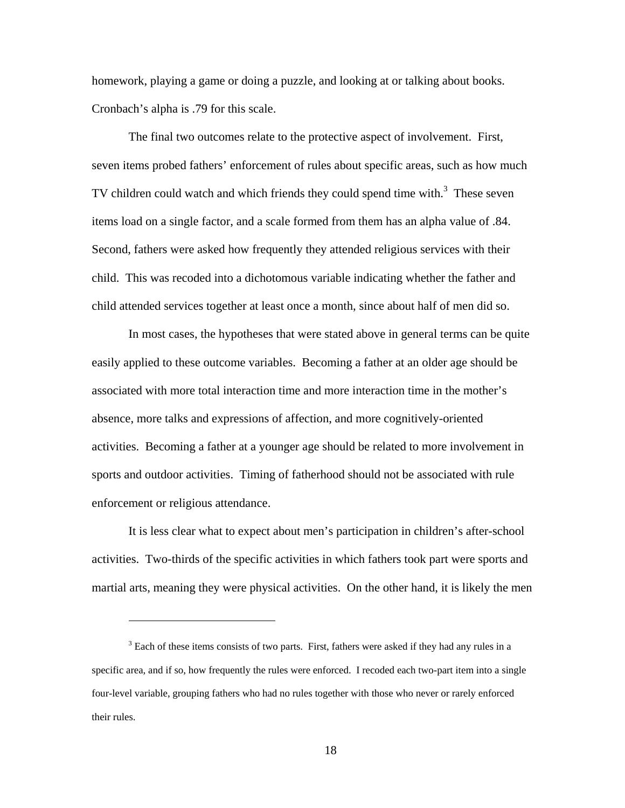homework, playing a game or doing a puzzle, and looking at or talking about books. Cronbach's alpha is .79 for this scale.

The final two outcomes relate to the protective aspect of involvement. First, seven items probed fathers' enforcement of rules about specific areas, such as how much TV children could watch and which friends they could spend time with.<sup>[3](#page-17-0)</sup> These seven items load on a single factor, and a scale formed from them has an alpha value of .84. Second, fathers were asked how frequently they attended religious services with their child. This was recoded into a dichotomous variable indicating whether the father and child attended services together at least once a month, since about half of men did so.

In most cases, the hypotheses that were stated above in general terms can be quite easily applied to these outcome variables. Becoming a father at an older age should be associated with more total interaction time and more interaction time in the mother's absence, more talks and expressions of affection, and more cognitively-oriented activities. Becoming a father at a younger age should be related to more involvement in sports and outdoor activities. Timing of fatherhood should not be associated with rule enforcement or religious attendance.

It is less clear what to expect about men's participation in children's after-school activities. Two-thirds of the specific activities in which fathers took part were sports and martial arts, meaning they were physical activities. On the other hand, it is likely the men

<span id="page-17-0"></span> $3$  Each of these items consists of two parts. First, fathers were asked if they had any rules in a specific area, and if so, how frequently the rules were enforced. I recoded each two-part item into a single four-level variable, grouping fathers who had no rules together with those who never or rarely enforced their rules.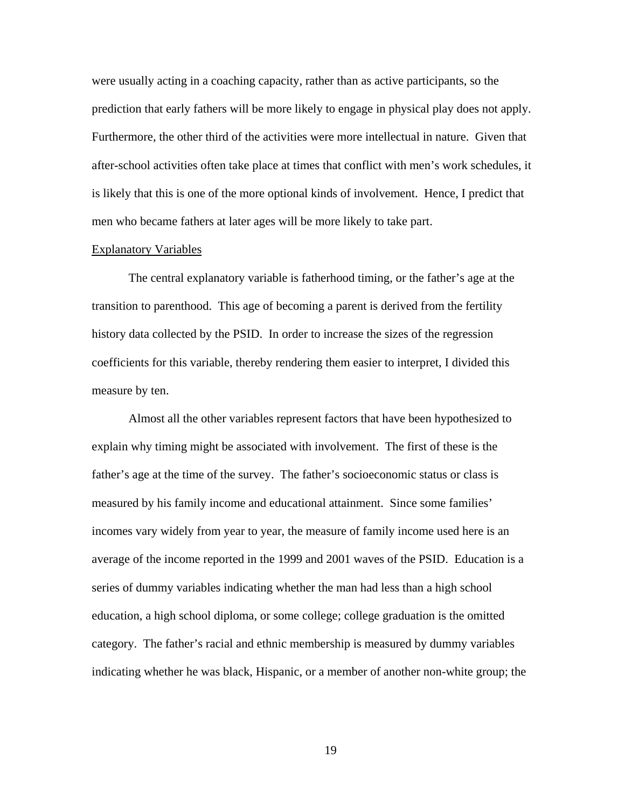were usually acting in a coaching capacity, rather than as active participants, so the prediction that early fathers will be more likely to engage in physical play does not apply. Furthermore, the other third of the activities were more intellectual in nature. Given that after-school activities often take place at times that conflict with men's work schedules, it is likely that this is one of the more optional kinds of involvement. Hence, I predict that men who became fathers at later ages will be more likely to take part.

#### Explanatory Variables

The central explanatory variable is fatherhood timing, or the father's age at the transition to parenthood. This age of becoming a parent is derived from the fertility history data collected by the PSID. In order to increase the sizes of the regression coefficients for this variable, thereby rendering them easier to interpret, I divided this measure by ten.

Almost all the other variables represent factors that have been hypothesized to explain why timing might be associated with involvement. The first of these is the father's age at the time of the survey. The father's socioeconomic status or class is measured by his family income and educational attainment. Since some families' incomes vary widely from year to year, the measure of family income used here is an average of the income reported in the 1999 and 2001 waves of the PSID. Education is a series of dummy variables indicating whether the man had less than a high school education, a high school diploma, or some college; college graduation is the omitted category. The father's racial and ethnic membership is measured by dummy variables indicating whether he was black, Hispanic, or a member of another non-white group; the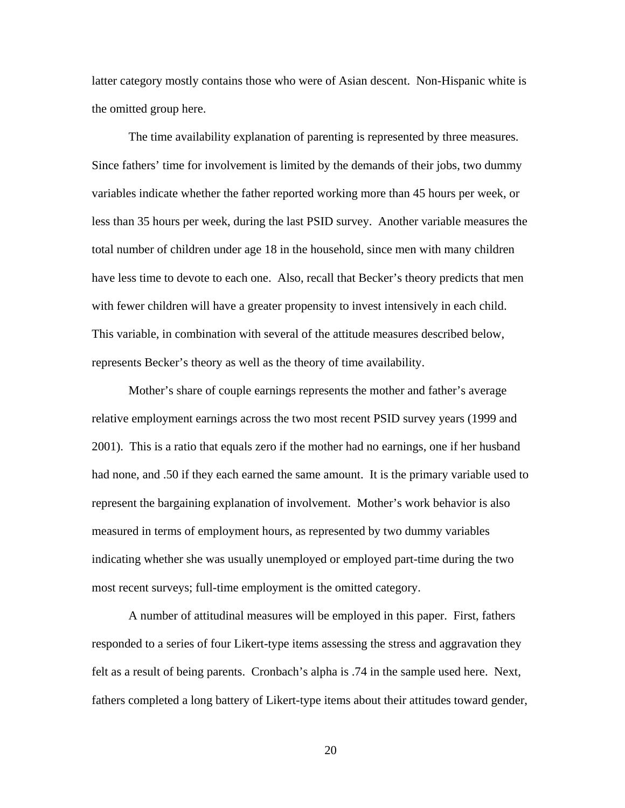latter category mostly contains those who were of Asian descent. Non-Hispanic white is the omitted group here.

The time availability explanation of parenting is represented by three measures. Since fathers' time for involvement is limited by the demands of their jobs, two dummy variables indicate whether the father reported working more than 45 hours per week, or less than 35 hours per week, during the last PSID survey. Another variable measures the total number of children under age 18 in the household, since men with many children have less time to devote to each one. Also, recall that Becker's theory predicts that men with fewer children will have a greater propensity to invest intensively in each child. This variable, in combination with several of the attitude measures described below, represents Becker's theory as well as the theory of time availability.

Mother's share of couple earnings represents the mother and father's average relative employment earnings across the two most recent PSID survey years (1999 and 2001). This is a ratio that equals zero if the mother had no earnings, one if her husband had none, and .50 if they each earned the same amount. It is the primary variable used to represent the bargaining explanation of involvement. Mother's work behavior is also measured in terms of employment hours, as represented by two dummy variables indicating whether she was usually unemployed or employed part-time during the two most recent surveys; full-time employment is the omitted category.

A number of attitudinal measures will be employed in this paper. First, fathers responded to a series of four Likert-type items assessing the stress and aggravation they felt as a result of being parents. Cronbach's alpha is .74 in the sample used here. Next, fathers completed a long battery of Likert-type items about their attitudes toward gender,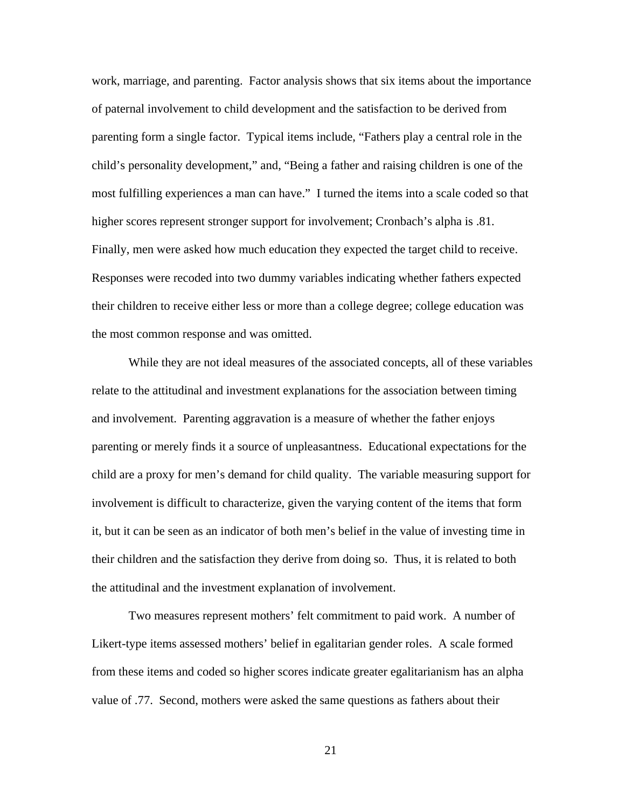work, marriage, and parenting. Factor analysis shows that six items about the importance of paternal involvement to child development and the satisfaction to be derived from parenting form a single factor. Typical items include, "Fathers play a central role in the child's personality development," and, "Being a father and raising children is one of the most fulfilling experiences a man can have." I turned the items into a scale coded so that higher scores represent stronger support for involvement; Cronbach's alpha is .81. Finally, men were asked how much education they expected the target child to receive. Responses were recoded into two dummy variables indicating whether fathers expected their children to receive either less or more than a college degree; college education was the most common response and was omitted.

While they are not ideal measures of the associated concepts, all of these variables relate to the attitudinal and investment explanations for the association between timing and involvement. Parenting aggravation is a measure of whether the father enjoys parenting or merely finds it a source of unpleasantness. Educational expectations for the child are a proxy for men's demand for child quality. The variable measuring support for involvement is difficult to characterize, given the varying content of the items that form it, but it can be seen as an indicator of both men's belief in the value of investing time in their children and the satisfaction they derive from doing so. Thus, it is related to both the attitudinal and the investment explanation of involvement.

Two measures represent mothers' felt commitment to paid work. A number of Likert-type items assessed mothers' belief in egalitarian gender roles. A scale formed from these items and coded so higher scores indicate greater egalitarianism has an alpha value of .77. Second, mothers were asked the same questions as fathers about their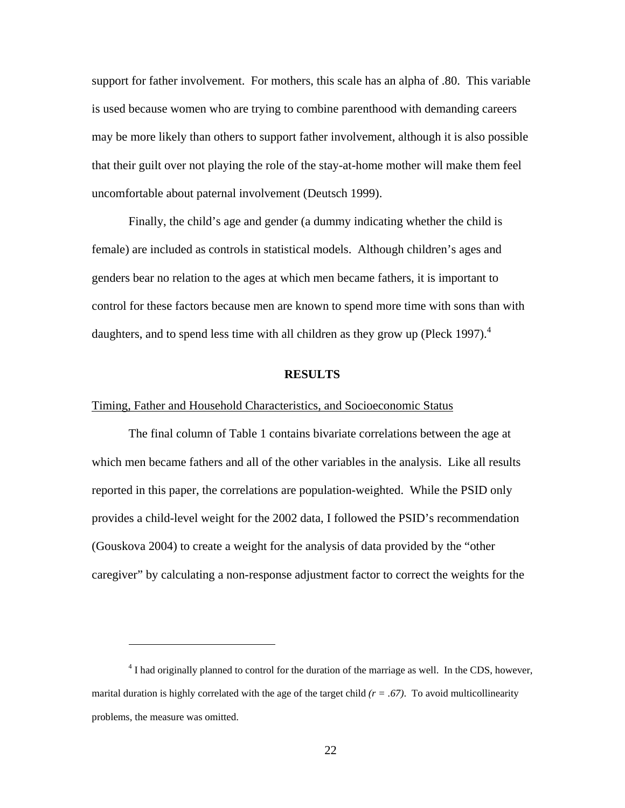support for father involvement. For mothers, this scale has an alpha of .80. This variable is used because women who are trying to combine parenthood with demanding careers may be more likely than others to support father involvement, although it is also possible that their guilt over not playing the role of the stay-at-home mother will make them feel uncomfortable about paternal involvement (Deutsch 1999).

Finally, the child's age and gender (a dummy indicating whether the child is female) are included as controls in statistical models. Although children's ages and genders bear no relation to the ages at which men became fathers, it is important to control for these factors because men are known to spend more time with sons than with daughters, and to spend less time with all children as they grow up (Pleck 1997). $4$ 

#### **RESULTS**

# Timing, Father and Household Characteristics, and Socioeconomic Status

<span id="page-21-0"></span><u>.</u>

The final column of Table 1 contains bivariate correlations between the age at which men became fathers and all of the other variables in the analysis. Like all results reported in this paper, the correlations are population-weighted. While the PSID only provides a child-level weight for the 2002 data, I followed the PSID's recommendation (Gouskova 2004) to create a weight for the analysis of data provided by the "other caregiver" by calculating a non-response adjustment factor to correct the weights for the

<sup>&</sup>lt;sup>4</sup> I had originally planned to control for the duration of the marriage as well. In the CDS, however, marital duration is highly correlated with the age of the target child *(r = .67)*. To avoid multicollinearity problems, the measure was omitted.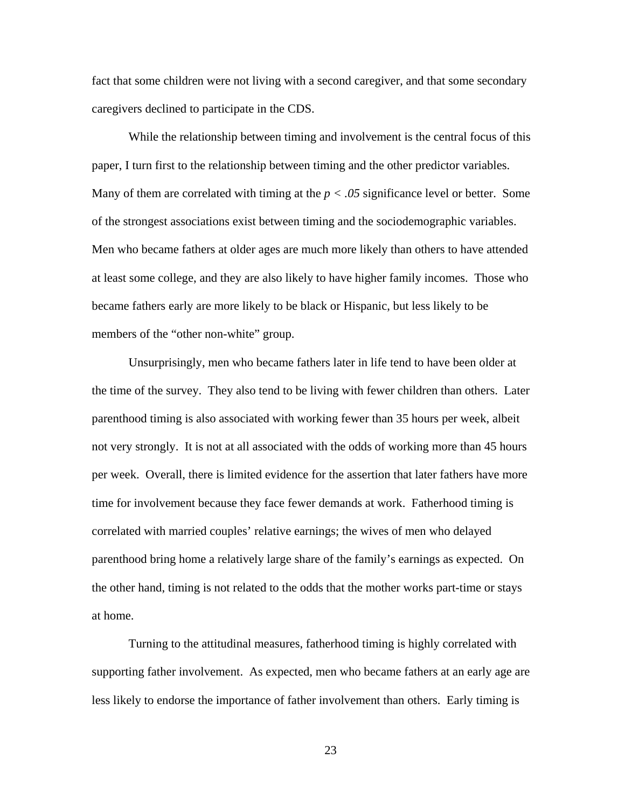fact that some children were not living with a second caregiver, and that some secondary caregivers declined to participate in the CDS.

While the relationship between timing and involvement is the central focus of this paper, I turn first to the relationship between timing and the other predictor variables. Many of them are correlated with timing at the  $p < .05$  significance level or better. Some of the strongest associations exist between timing and the sociodemographic variables. Men who became fathers at older ages are much more likely than others to have attended at least some college, and they are also likely to have higher family incomes. Those who became fathers early are more likely to be black or Hispanic, but less likely to be members of the "other non-white" group.

Unsurprisingly, men who became fathers later in life tend to have been older at the time of the survey. They also tend to be living with fewer children than others. Later parenthood timing is also associated with working fewer than 35 hours per week, albeit not very strongly. It is not at all associated with the odds of working more than 45 hours per week. Overall, there is limited evidence for the assertion that later fathers have more time for involvement because they face fewer demands at work. Fatherhood timing is correlated with married couples' relative earnings; the wives of men who delayed parenthood bring home a relatively large share of the family's earnings as expected. On the other hand, timing is not related to the odds that the mother works part-time or stays at home.

Turning to the attitudinal measures, fatherhood timing is highly correlated with supporting father involvement. As expected, men who became fathers at an early age are less likely to endorse the importance of father involvement than others. Early timing is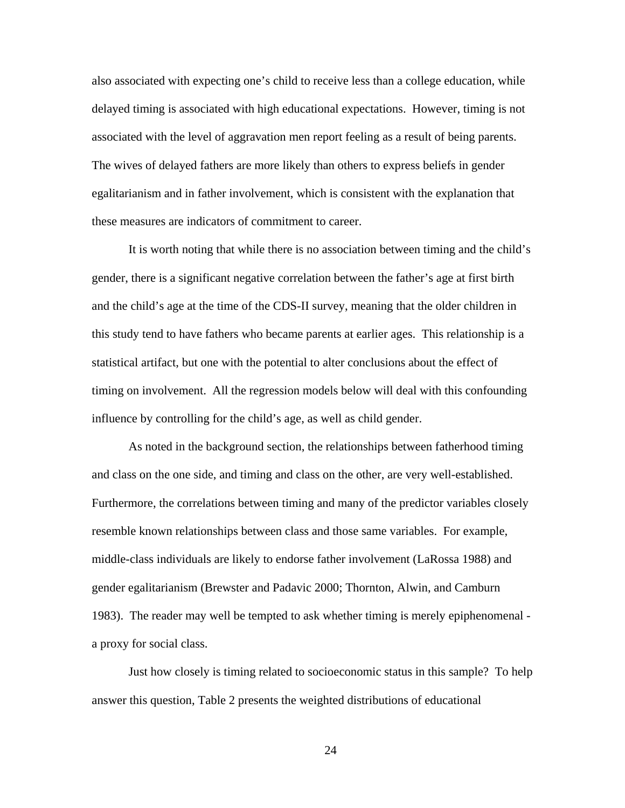also associated with expecting one's child to receive less than a college education, while delayed timing is associated with high educational expectations. However, timing is not associated with the level of aggravation men report feeling as a result of being parents. The wives of delayed fathers are more likely than others to express beliefs in gender egalitarianism and in father involvement, which is consistent with the explanation that these measures are indicators of commitment to career.

It is worth noting that while there is no association between timing and the child's gender, there is a significant negative correlation between the father's age at first birth and the child's age at the time of the CDS-II survey, meaning that the older children in this study tend to have fathers who became parents at earlier ages. This relationship is a statistical artifact, but one with the potential to alter conclusions about the effect of timing on involvement. All the regression models below will deal with this confounding influence by controlling for the child's age, as well as child gender.

As noted in the background section, the relationships between fatherhood timing and class on the one side, and timing and class on the other, are very well-established. Furthermore, the correlations between timing and many of the predictor variables closely resemble known relationships between class and those same variables. For example, middle-class individuals are likely to endorse father involvement (LaRossa 1988) and gender egalitarianism (Brewster and Padavic 2000; Thornton, Alwin, and Camburn 1983). The reader may well be tempted to ask whether timing is merely epiphenomenal a proxy for social class.

Just how closely is timing related to socioeconomic status in this sample? To help answer this question, Table 2 presents the weighted distributions of educational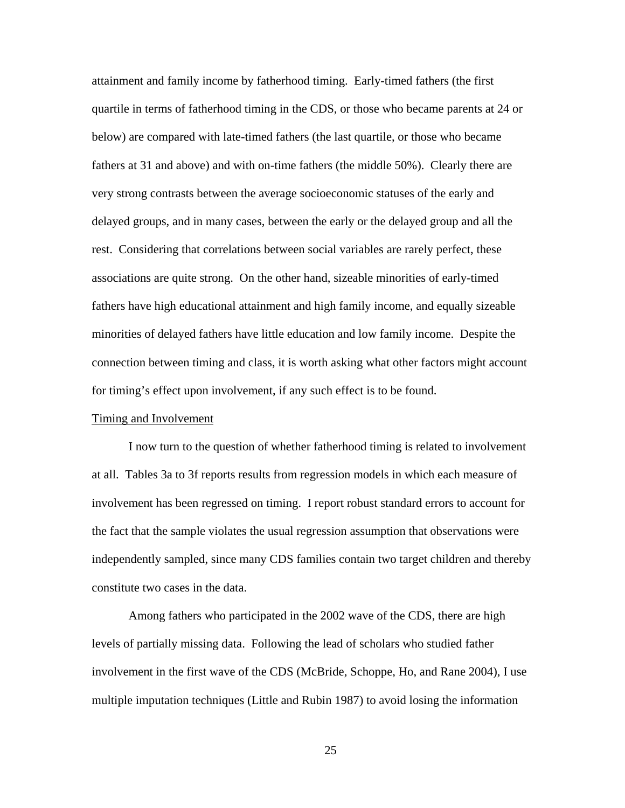attainment and family income by fatherhood timing. Early-timed fathers (the first quartile in terms of fatherhood timing in the CDS, or those who became parents at 24 or below) are compared with late-timed fathers (the last quartile, or those who became fathers at 31 and above) and with on-time fathers (the middle 50%). Clearly there are very strong contrasts between the average socioeconomic statuses of the early and delayed groups, and in many cases, between the early or the delayed group and all the rest. Considering that correlations between social variables are rarely perfect, these associations are quite strong. On the other hand, sizeable minorities of early-timed fathers have high educational attainment and high family income, and equally sizeable minorities of delayed fathers have little education and low family income. Despite the connection between timing and class, it is worth asking what other factors might account for timing's effect upon involvement, if any such effect is to be found.

# Timing and Involvement

I now turn to the question of whether fatherhood timing is related to involvement at all. Tables 3a to 3f reports results from regression models in which each measure of involvement has been regressed on timing. I report robust standard errors to account for the fact that the sample violates the usual regression assumption that observations were independently sampled, since many CDS families contain two target children and thereby constitute two cases in the data.

Among fathers who participated in the 2002 wave of the CDS, there are high levels of partially missing data. Following the lead of scholars who studied father involvement in the first wave of the CDS (McBride, Schoppe, Ho, and Rane 2004), I use multiple imputation techniques (Little and Rubin 1987) to avoid losing the information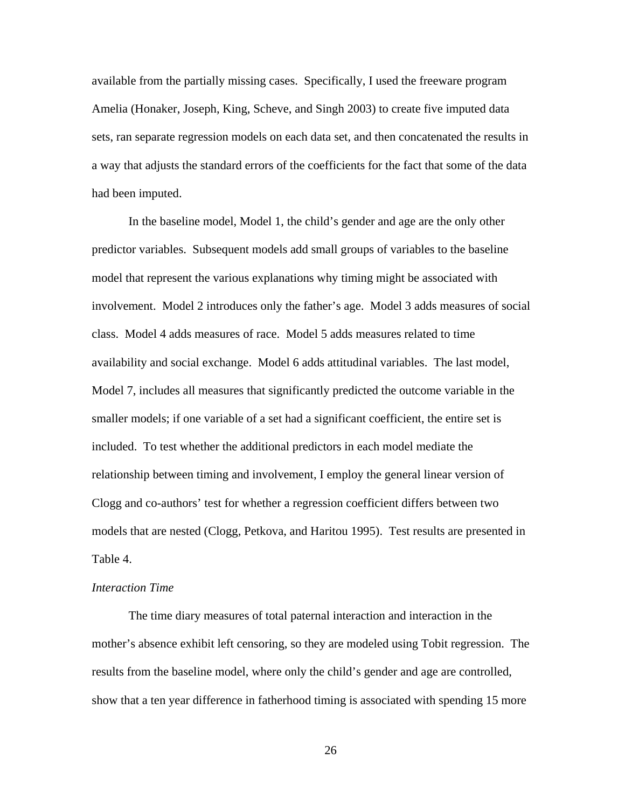available from the partially missing cases. Specifically, I used the freeware program Amelia (Honaker, Joseph, King, Scheve, and Singh 2003) to create five imputed data sets, ran separate regression models on each data set, and then concatenated the results in a way that adjusts the standard errors of the coefficients for the fact that some of the data had been imputed.

In the baseline model, Model 1, the child's gender and age are the only other predictor variables. Subsequent models add small groups of variables to the baseline model that represent the various explanations why timing might be associated with involvement. Model 2 introduces only the father's age. Model 3 adds measures of social class. Model 4 adds measures of race. Model 5 adds measures related to time availability and social exchange. Model 6 adds attitudinal variables. The last model, Model 7, includes all measures that significantly predicted the outcome variable in the smaller models; if one variable of a set had a significant coefficient, the entire set is included. To test whether the additional predictors in each model mediate the relationship between timing and involvement, I employ the general linear version of Clogg and co-authors' test for whether a regression coefficient differs between two models that are nested (Clogg, Petkova, and Haritou 1995). Test results are presented in Table 4.

## *Interaction Time*

The time diary measures of total paternal interaction and interaction in the mother's absence exhibit left censoring, so they are modeled using Tobit regression. The results from the baseline model, where only the child's gender and age are controlled, show that a ten year difference in fatherhood timing is associated with spending 15 more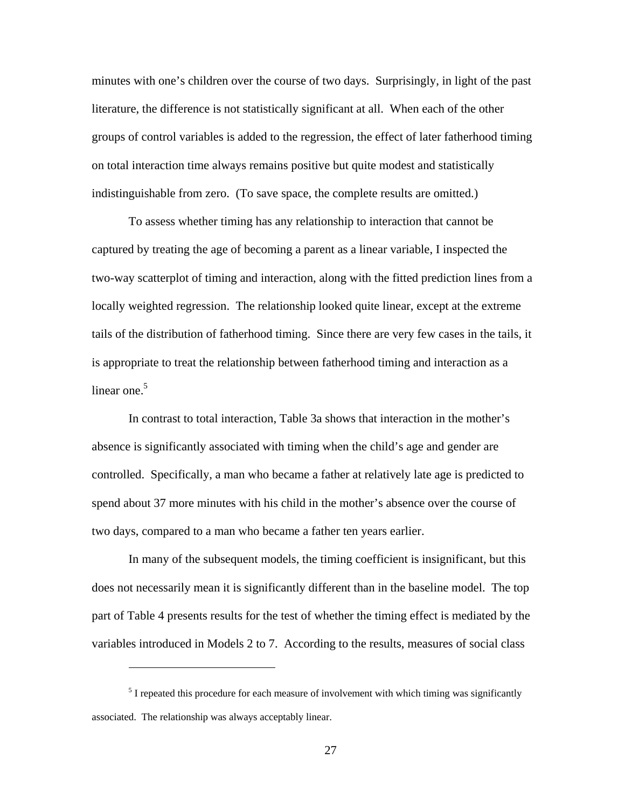minutes with one's children over the course of two days. Surprisingly, in light of the past literature, the difference is not statistically significant at all. When each of the other groups of control variables is added to the regression, the effect of later fatherhood timing on total interaction time always remains positive but quite modest and statistically indistinguishable from zero. (To save space, the complete results are omitted.)

To assess whether timing has any relationship to interaction that cannot be captured by treating the age of becoming a parent as a linear variable, I inspected the two-way scatterplot of timing and interaction, along with the fitted prediction lines from a locally weighted regression. The relationship looked quite linear, except at the extreme tails of the distribution of fatherhood timing. Since there are very few cases in the tails, it is appropriate to treat the relationship between fatherhood timing and interaction as a linear one. $5$ 

In contrast to total interaction, Table 3a shows that interaction in the mother's absence is significantly associated with timing when the child's age and gender are controlled. Specifically, a man who became a father at relatively late age is predicted to spend about 37 more minutes with his child in the mother's absence over the course of two days, compared to a man who became a father ten years earlier.

In many of the subsequent models, the timing coefficient is insignificant, but this does not necessarily mean it is significantly different than in the baseline model. The top part of Table 4 presents results for the test of whether the timing effect is mediated by the variables introduced in Models 2 to 7. According to the results, measures of social class

<span id="page-26-0"></span> $\overline{a}$ 

 $<sup>5</sup>$  I repeated this procedure for each measure of involvement with which timing was significantly</sup> associated. The relationship was always acceptably linear.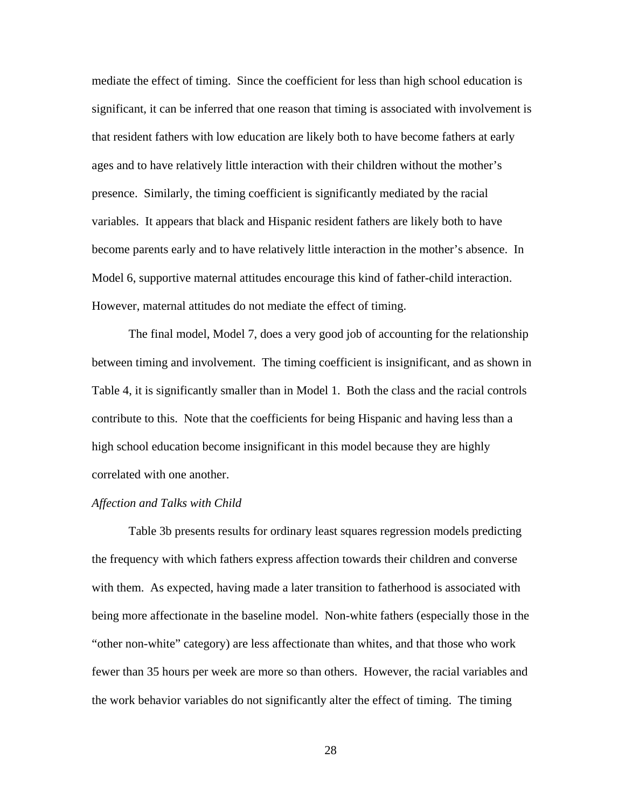mediate the effect of timing. Since the coefficient for less than high school education is significant, it can be inferred that one reason that timing is associated with involvement is that resident fathers with low education are likely both to have become fathers at early ages and to have relatively little interaction with their children without the mother's presence. Similarly, the timing coefficient is significantly mediated by the racial variables. It appears that black and Hispanic resident fathers are likely both to have become parents early and to have relatively little interaction in the mother's absence. In Model 6, supportive maternal attitudes encourage this kind of father-child interaction. However, maternal attitudes do not mediate the effect of timing.

The final model, Model 7, does a very good job of accounting for the relationship between timing and involvement. The timing coefficient is insignificant, and as shown in Table 4, it is significantly smaller than in Model 1. Both the class and the racial controls contribute to this. Note that the coefficients for being Hispanic and having less than a high school education become insignificant in this model because they are highly correlated with one another.

## *Affection and Talks with Child*

Table 3b presents results for ordinary least squares regression models predicting the frequency with which fathers express affection towards their children and converse with them. As expected, having made a later transition to fatherhood is associated with being more affectionate in the baseline model. Non-white fathers (especially those in the "other non-white" category) are less affectionate than whites, and that those who work fewer than 35 hours per week are more so than others. However, the racial variables and the work behavior variables do not significantly alter the effect of timing. The timing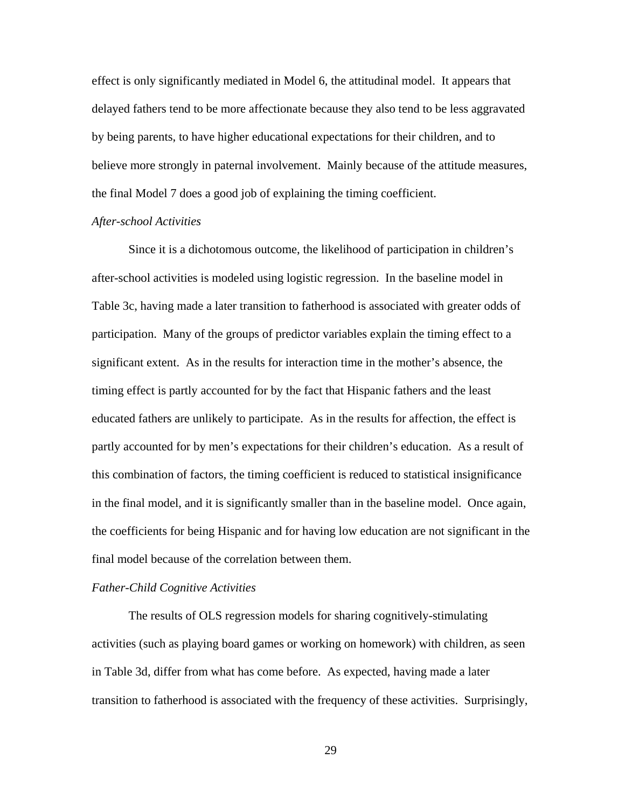effect is only significantly mediated in Model 6, the attitudinal model. It appears that delayed fathers tend to be more affectionate because they also tend to be less aggravated by being parents, to have higher educational expectations for their children, and to believe more strongly in paternal involvement. Mainly because of the attitude measures, the final Model 7 does a good job of explaining the timing coefficient.

## *After-school Activities*

Since it is a dichotomous outcome, the likelihood of participation in children's after-school activities is modeled using logistic regression. In the baseline model in Table 3c, having made a later transition to fatherhood is associated with greater odds of participation. Many of the groups of predictor variables explain the timing effect to a significant extent. As in the results for interaction time in the mother's absence, the timing effect is partly accounted for by the fact that Hispanic fathers and the least educated fathers are unlikely to participate. As in the results for affection, the effect is partly accounted for by men's expectations for their children's education. As a result of this combination of factors, the timing coefficient is reduced to statistical insignificance in the final model, and it is significantly smaller than in the baseline model. Once again, the coefficients for being Hispanic and for having low education are not significant in the final model because of the correlation between them.

## *Father-Child Cognitive Activities*

The results of OLS regression models for sharing cognitively-stimulating activities (such as playing board games or working on homework) with children, as seen in Table 3d, differ from what has come before. As expected, having made a later transition to fatherhood is associated with the frequency of these activities. Surprisingly,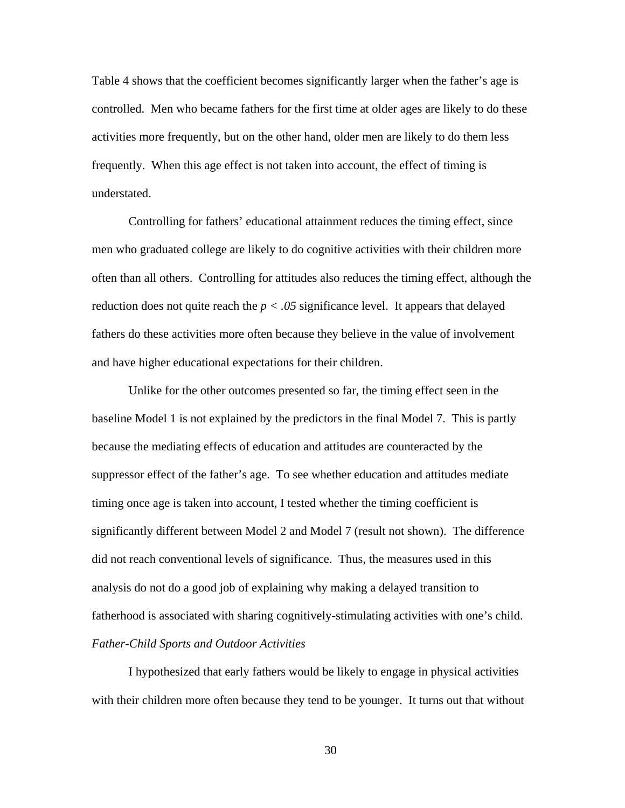Table 4 shows that the coefficient becomes significantly larger when the father's age is controlled. Men who became fathers for the first time at older ages are likely to do these activities more frequently, but on the other hand, older men are likely to do them less frequently. When this age effect is not taken into account, the effect of timing is understated.

Controlling for fathers' educational attainment reduces the timing effect, since men who graduated college are likely to do cognitive activities with their children more often than all others. Controlling for attitudes also reduces the timing effect, although the reduction does not quite reach the  $p < .05$  significance level. It appears that delayed fathers do these activities more often because they believe in the value of involvement and have higher educational expectations for their children.

Unlike for the other outcomes presented so far, the timing effect seen in the baseline Model 1 is not explained by the predictors in the final Model 7. This is partly because the mediating effects of education and attitudes are counteracted by the suppressor effect of the father's age. To see whether education and attitudes mediate timing once age is taken into account, I tested whether the timing coefficient is significantly different between Model 2 and Model 7 (result not shown). The difference did not reach conventional levels of significance. Thus, the measures used in this analysis do not do a good job of explaining why making a delayed transition to fatherhood is associated with sharing cognitively-stimulating activities with one's child. *Father-Child Sports and Outdoor Activities* 

I hypothesized that early fathers would be likely to engage in physical activities with their children more often because they tend to be younger. It turns out that without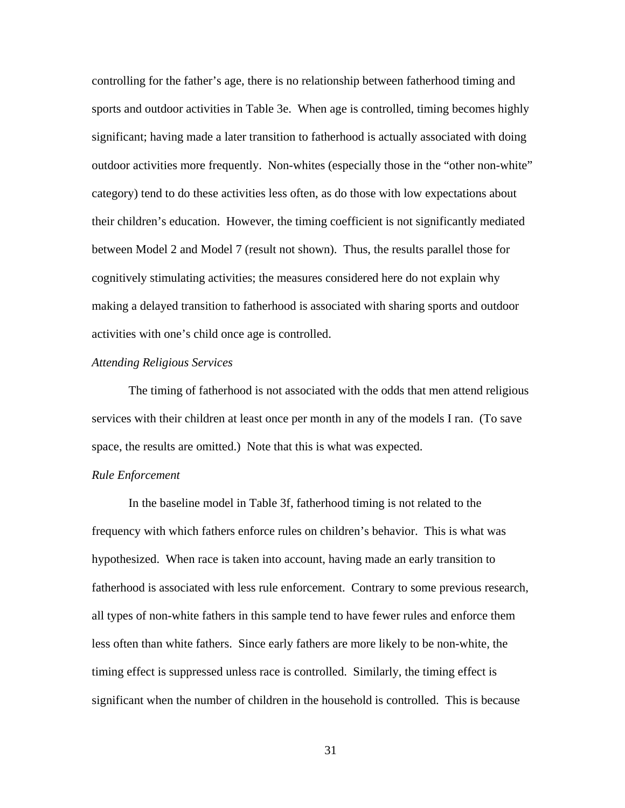controlling for the father's age, there is no relationship between fatherhood timing and sports and outdoor activities in Table 3e. When age is controlled, timing becomes highly significant; having made a later transition to fatherhood is actually associated with doing outdoor activities more frequently. Non-whites (especially those in the "other non-white" category) tend to do these activities less often, as do those with low expectations about their children's education. However, the timing coefficient is not significantly mediated between Model 2 and Model 7 (result not shown). Thus, the results parallel those for cognitively stimulating activities; the measures considered here do not explain why making a delayed transition to fatherhood is associated with sharing sports and outdoor activities with one's child once age is controlled.

#### *Attending Religious Services*

The timing of fatherhood is not associated with the odds that men attend religious services with their children at least once per month in any of the models I ran. (To save space, the results are omitted.) Note that this is what was expected.

## *Rule Enforcement*

In the baseline model in Table 3f, fatherhood timing is not related to the frequency with which fathers enforce rules on children's behavior. This is what was hypothesized. When race is taken into account, having made an early transition to fatherhood is associated with less rule enforcement. Contrary to some previous research, all types of non-white fathers in this sample tend to have fewer rules and enforce them less often than white fathers. Since early fathers are more likely to be non-white, the timing effect is suppressed unless race is controlled. Similarly, the timing effect is significant when the number of children in the household is controlled. This is because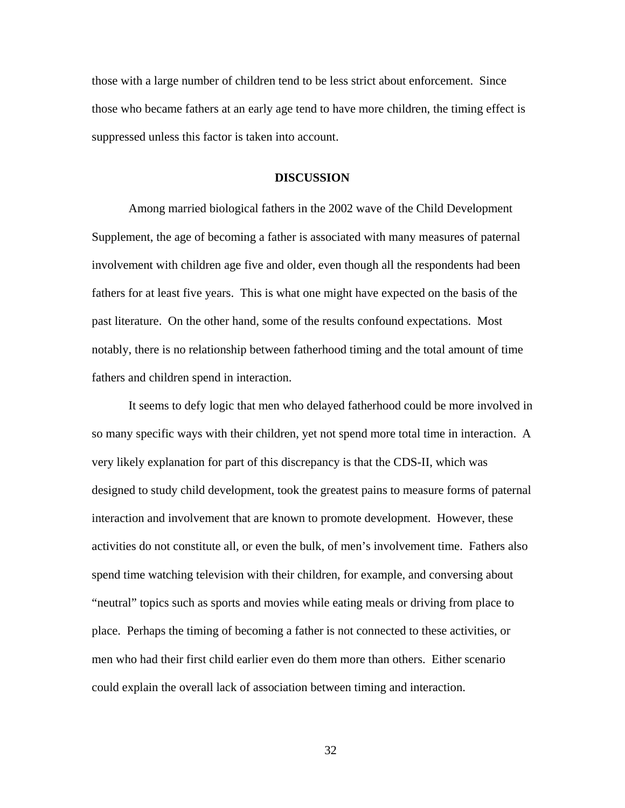those with a large number of children tend to be less strict about enforcement. Since those who became fathers at an early age tend to have more children, the timing effect is suppressed unless this factor is taken into account.

## **DISCUSSION**

Among married biological fathers in the 2002 wave of the Child Development Supplement, the age of becoming a father is associated with many measures of paternal involvement with children age five and older, even though all the respondents had been fathers for at least five years. This is what one might have expected on the basis of the past literature. On the other hand, some of the results confound expectations. Most notably, there is no relationship between fatherhood timing and the total amount of time fathers and children spend in interaction.

It seems to defy logic that men who delayed fatherhood could be more involved in so many specific ways with their children, yet not spend more total time in interaction. A very likely explanation for part of this discrepancy is that the CDS-II, which was designed to study child development, took the greatest pains to measure forms of paternal interaction and involvement that are known to promote development. However, these activities do not constitute all, or even the bulk, of men's involvement time. Fathers also spend time watching television with their children, for example, and conversing about "neutral" topics such as sports and movies while eating meals or driving from place to place. Perhaps the timing of becoming a father is not connected to these activities, or men who had their first child earlier even do them more than others. Either scenario could explain the overall lack of association between timing and interaction.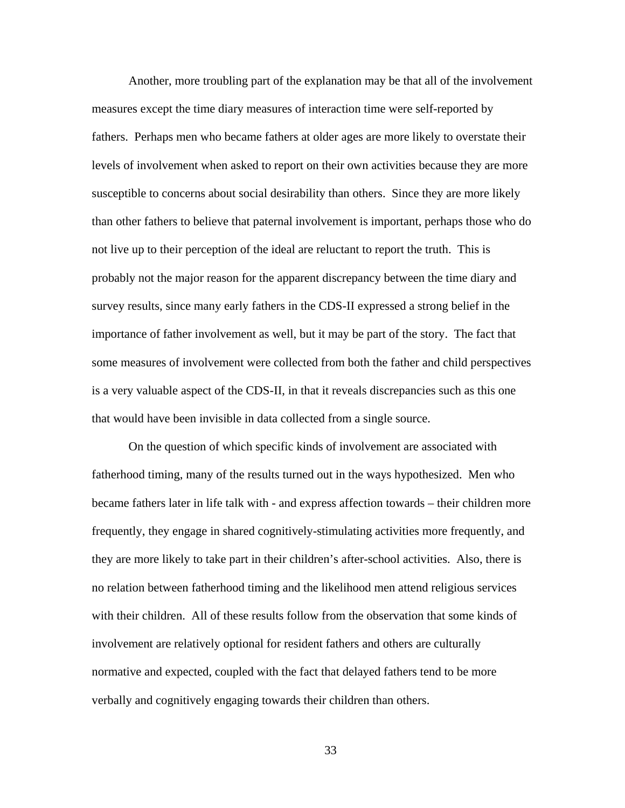Another, more troubling part of the explanation may be that all of the involvement measures except the time diary measures of interaction time were self-reported by fathers. Perhaps men who became fathers at older ages are more likely to overstate their levels of involvement when asked to report on their own activities because they are more susceptible to concerns about social desirability than others. Since they are more likely than other fathers to believe that paternal involvement is important, perhaps those who do not live up to their perception of the ideal are reluctant to report the truth. This is probably not the major reason for the apparent discrepancy between the time diary and survey results, since many early fathers in the CDS-II expressed a strong belief in the importance of father involvement as well, but it may be part of the story. The fact that some measures of involvement were collected from both the father and child perspectives is a very valuable aspect of the CDS-II, in that it reveals discrepancies such as this one that would have been invisible in data collected from a single source.

On the question of which specific kinds of involvement are associated with fatherhood timing, many of the results turned out in the ways hypothesized. Men who became fathers later in life talk with - and express affection towards – their children more frequently, they engage in shared cognitively-stimulating activities more frequently, and they are more likely to take part in their children's after-school activities. Also, there is no relation between fatherhood timing and the likelihood men attend religious services with their children. All of these results follow from the observation that some kinds of involvement are relatively optional for resident fathers and others are culturally normative and expected, coupled with the fact that delayed fathers tend to be more verbally and cognitively engaging towards their children than others.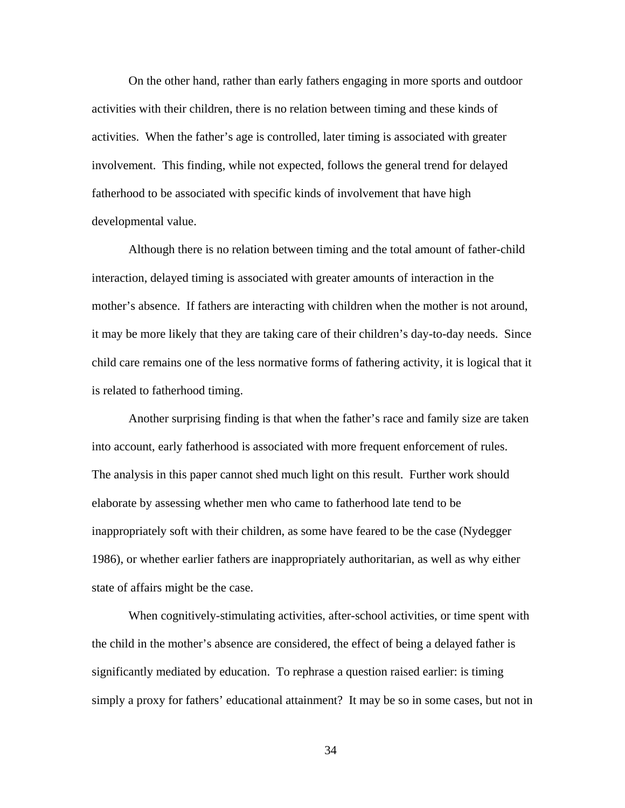On the other hand, rather than early fathers engaging in more sports and outdoor activities with their children, there is no relation between timing and these kinds of activities. When the father's age is controlled, later timing is associated with greater involvement. This finding, while not expected, follows the general trend for delayed fatherhood to be associated with specific kinds of involvement that have high developmental value.

Although there is no relation between timing and the total amount of father-child interaction, delayed timing is associated with greater amounts of interaction in the mother's absence. If fathers are interacting with children when the mother is not around, it may be more likely that they are taking care of their children's day-to-day needs. Since child care remains one of the less normative forms of fathering activity, it is logical that it is related to fatherhood timing.

Another surprising finding is that when the father's race and family size are taken into account, early fatherhood is associated with more frequent enforcement of rules. The analysis in this paper cannot shed much light on this result. Further work should elaborate by assessing whether men who came to fatherhood late tend to be inappropriately soft with their children, as some have feared to be the case (Nydegger 1986), or whether earlier fathers are inappropriately authoritarian, as well as why either state of affairs might be the case.

When cognitively-stimulating activities, after-school activities, or time spent with the child in the mother's absence are considered, the effect of being a delayed father is significantly mediated by education. To rephrase a question raised earlier: is timing simply a proxy for fathers' educational attainment? It may be so in some cases, but not in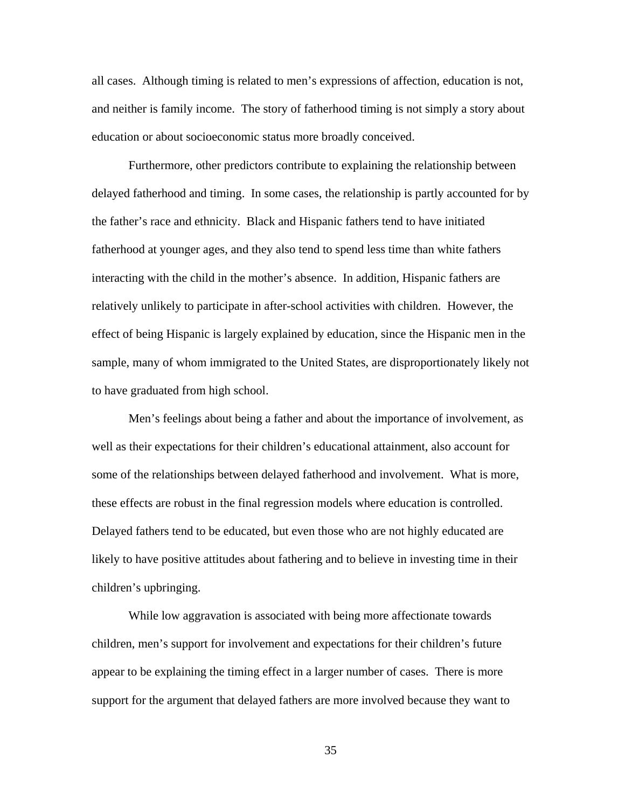all cases. Although timing is related to men's expressions of affection, education is not, and neither is family income. The story of fatherhood timing is not simply a story about education or about socioeconomic status more broadly conceived.

Furthermore, other predictors contribute to explaining the relationship between delayed fatherhood and timing. In some cases, the relationship is partly accounted for by the father's race and ethnicity. Black and Hispanic fathers tend to have initiated fatherhood at younger ages, and they also tend to spend less time than white fathers interacting with the child in the mother's absence. In addition, Hispanic fathers are relatively unlikely to participate in after-school activities with children. However, the effect of being Hispanic is largely explained by education, since the Hispanic men in the sample, many of whom immigrated to the United States, are disproportionately likely not to have graduated from high school.

Men's feelings about being a father and about the importance of involvement, as well as their expectations for their children's educational attainment, also account for some of the relationships between delayed fatherhood and involvement. What is more, these effects are robust in the final regression models where education is controlled. Delayed fathers tend to be educated, but even those who are not highly educated are likely to have positive attitudes about fathering and to believe in investing time in their children's upbringing.

While low aggravation is associated with being more affectionate towards children, men's support for involvement and expectations for their children's future appear to be explaining the timing effect in a larger number of cases. There is more support for the argument that delayed fathers are more involved because they want to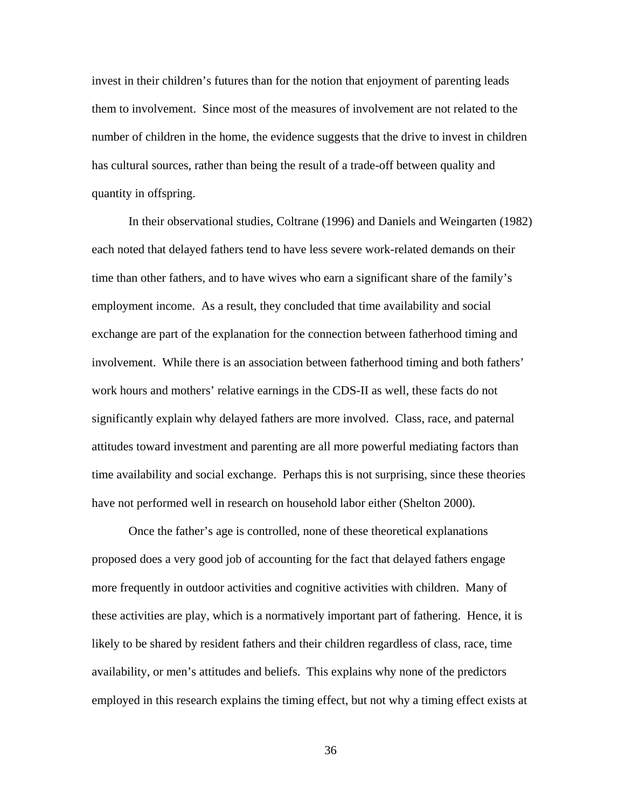invest in their children's futures than for the notion that enjoyment of parenting leads them to involvement. Since most of the measures of involvement are not related to the number of children in the home, the evidence suggests that the drive to invest in children has cultural sources, rather than being the result of a trade-off between quality and quantity in offspring.

In their observational studies, Coltrane (1996) and Daniels and Weingarten (1982) each noted that delayed fathers tend to have less severe work-related demands on their time than other fathers, and to have wives who earn a significant share of the family's employment income. As a result, they concluded that time availability and social exchange are part of the explanation for the connection between fatherhood timing and involvement. While there is an association between fatherhood timing and both fathers' work hours and mothers' relative earnings in the CDS-II as well, these facts do not significantly explain why delayed fathers are more involved. Class, race, and paternal attitudes toward investment and parenting are all more powerful mediating factors than time availability and social exchange. Perhaps this is not surprising, since these theories have not performed well in research on household labor either (Shelton 2000).

Once the father's age is controlled, none of these theoretical explanations proposed does a very good job of accounting for the fact that delayed fathers engage more frequently in outdoor activities and cognitive activities with children. Many of these activities are play, which is a normatively important part of fathering. Hence, it is likely to be shared by resident fathers and their children regardless of class, race, time availability, or men's attitudes and beliefs. This explains why none of the predictors employed in this research explains the timing effect, but not why a timing effect exists at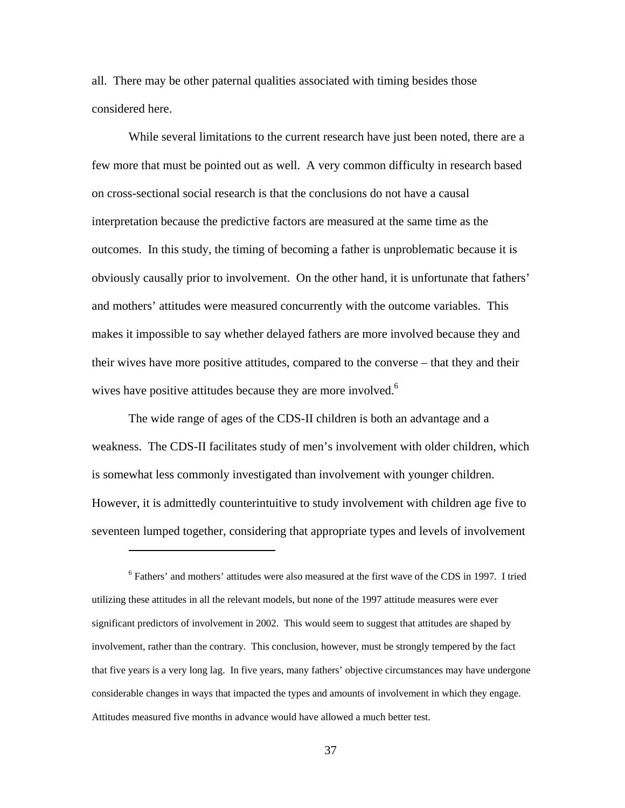all. There may be other paternal qualities associated with timing besides those considered here.

While several limitations to the current research have just been noted, there are a few more that must be pointed out as well. A very common difficulty in research based on cross-sectional social research is that the conclusions do not have a causal interpretation because the predictive factors are measured at the same time as the outcomes. In this study, the timing of becoming a father is unproblematic because it is obviously causally prior to involvement. On the other hand, it is unfortunate that fathers' and mothers' attitudes were measured concurrently with the outcome variables. This makes it impossible to say whether delayed fathers are more involved because they and their wives have more positive attitudes, compared to the converse – that they and their wives have positive attitudes because they are more involved.<sup>[6](#page-36-0)</sup>

The wide range of ages of the CDS-II children is both an advantage and a weakness. The CDS-II facilitates study of men's involvement with older children, which is somewhat less commonly investigated than involvement with younger children. However, it is admittedly counterintuitive to study involvement with children age five to seventeen lumped together, considering that appropriate types and levels of involvement

<span id="page-36-0"></span> $\overline{a}$ 

<sup>&</sup>lt;sup>6</sup> Fathers' and mothers' attitudes were also measured at the first wave of the CDS in 1997. I tried utilizing these attitudes in all the relevant models, but none of the 1997 attitude measures were ever significant predictors of involvement in 2002. This would seem to suggest that attitudes are shaped by involvement, rather than the contrary. This conclusion, however, must be strongly tempered by the fact that five years is a very long lag. In five years, many fathers' objective circumstances may have undergone considerable changes in ways that impacted the types and amounts of involvement in which they engage. Attitudes measured five months in advance would have allowed a much better test.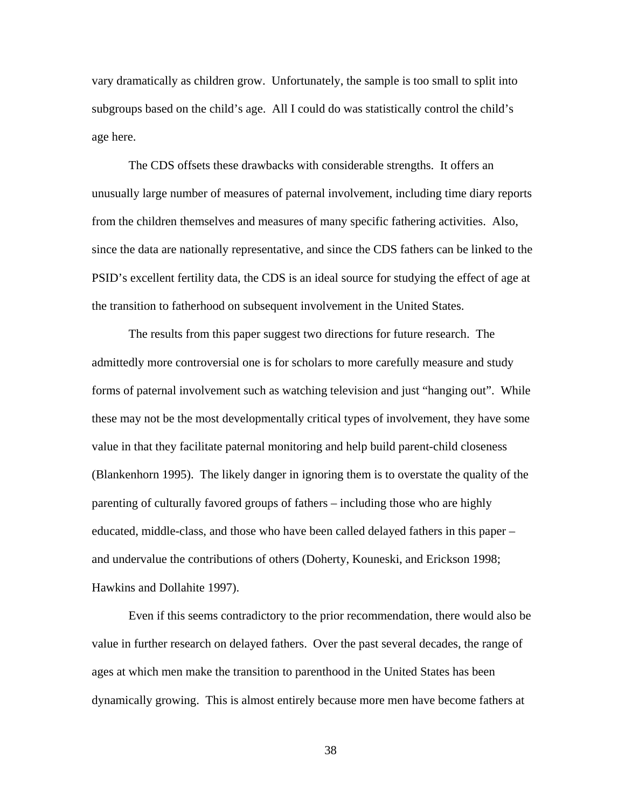vary dramatically as children grow. Unfortunately, the sample is too small to split into subgroups based on the child's age. All I could do was statistically control the child's age here.

The CDS offsets these drawbacks with considerable strengths. It offers an unusually large number of measures of paternal involvement, including time diary reports from the children themselves and measures of many specific fathering activities. Also, since the data are nationally representative, and since the CDS fathers can be linked to the PSID's excellent fertility data, the CDS is an ideal source for studying the effect of age at the transition to fatherhood on subsequent involvement in the United States.

The results from this paper suggest two directions for future research. The admittedly more controversial one is for scholars to more carefully measure and study forms of paternal involvement such as watching television and just "hanging out". While these may not be the most developmentally critical types of involvement, they have some value in that they facilitate paternal monitoring and help build parent-child closeness (Blankenhorn 1995). The likely danger in ignoring them is to overstate the quality of the parenting of culturally favored groups of fathers – including those who are highly educated, middle-class, and those who have been called delayed fathers in this paper – and undervalue the contributions of others (Doherty, Kouneski, and Erickson 1998; Hawkins and Dollahite 1997).

Even if this seems contradictory to the prior recommendation, there would also be value in further research on delayed fathers. Over the past several decades, the range of ages at which men make the transition to parenthood in the United States has been dynamically growing. This is almost entirely because more men have become fathers at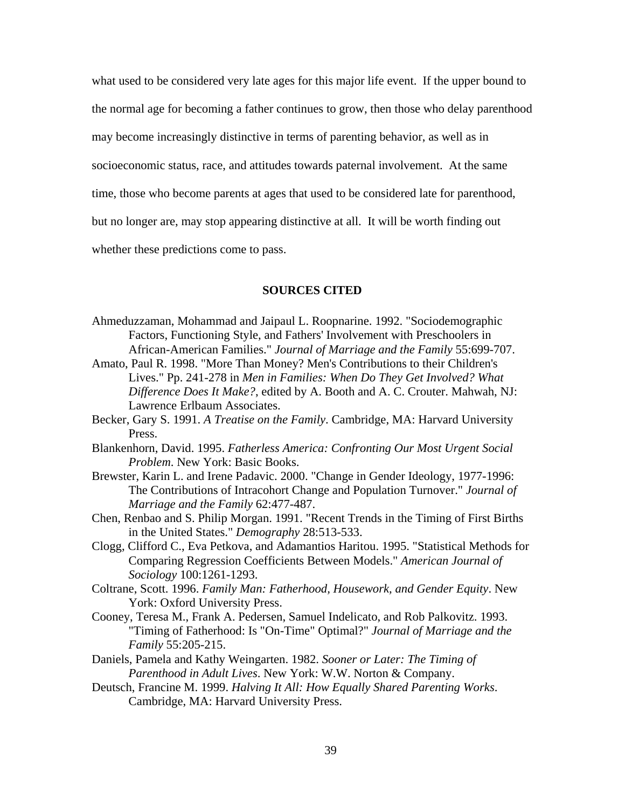what used to be considered very late ages for this major life event. If the upper bound to the normal age for becoming a father continues to grow, then those who delay parenthood may become increasingly distinctive in terms of parenting behavior, as well as in socioeconomic status, race, and attitudes towards paternal involvement. At the same time, those who become parents at ages that used to be considered late for parenthood, but no longer are, may stop appearing distinctive at all. It will be worth finding out whether these predictions come to pass.

## **SOURCES CITED**

- Ahmeduzzaman, Mohammad and Jaipaul L. Roopnarine. 1992. "Sociodemographic Factors, Functioning Style, and Fathers' Involvement with Preschoolers in African-American Families." *Journal of Marriage and the Family* 55:699-707.
- Amato, Paul R. 1998. "More Than Money? Men's Contributions to their Children's Lives." Pp. 241-278 in *Men in Families: When Do They Get Involved? What Difference Does It Make?*, edited by A. Booth and A. C. Crouter. Mahwah, NJ: Lawrence Erlbaum Associates.
- Becker, Gary S. 1991. *A Treatise on the Family*. Cambridge, MA: Harvard University Press.
- Blankenhorn, David. 1995. *Fatherless America: Confronting Our Most Urgent Social Problem*. New York: Basic Books.
- Brewster, Karin L. and Irene Padavic. 2000. "Change in Gender Ideology, 1977-1996: The Contributions of Intracohort Change and Population Turnover." *Journal of Marriage and the Family* 62:477-487.
- Chen, Renbao and S. Philip Morgan. 1991. "Recent Trends in the Timing of First Births in the United States." *Demography* 28:513-533.
- Clogg, Clifford C., Eva Petkova, and Adamantios Haritou. 1995. "Statistical Methods for Comparing Regression Coefficients Between Models." *American Journal of Sociology* 100:1261-1293.
- Coltrane, Scott. 1996. *Family Man: Fatherhood, Housework, and Gender Equity*. New York: Oxford University Press.
- Cooney, Teresa M., Frank A. Pedersen, Samuel Indelicato, and Rob Palkovitz. 1993. "Timing of Fatherhood: Is "On-Time" Optimal?" *Journal of Marriage and the Family* 55:205-215.
- Daniels, Pamela and Kathy Weingarten. 1982. *Sooner or Later: The Timing of Parenthood in Adult Lives*. New York: W.W. Norton & Company.
- Deutsch, Francine M. 1999. *Halving It All: How Equally Shared Parenting Works*. Cambridge, MA: Harvard University Press.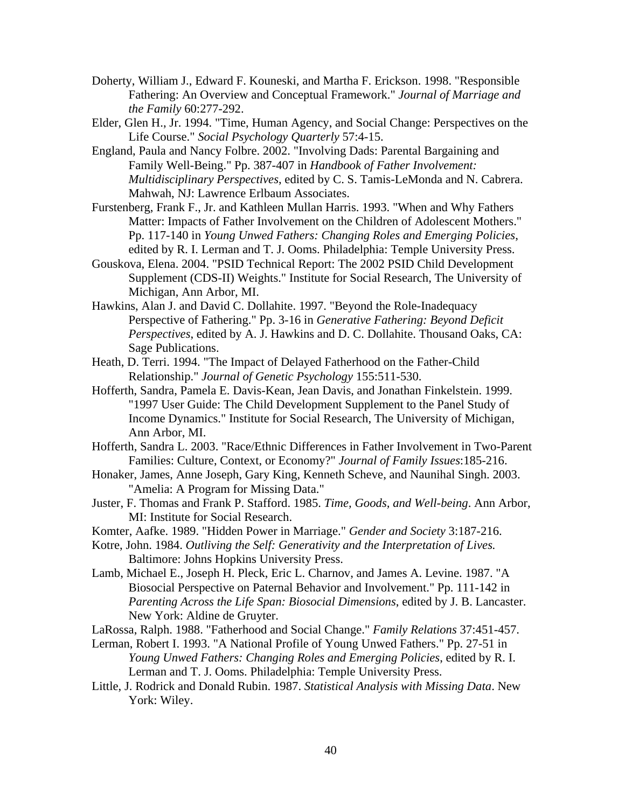- Doherty, William J., Edward F. Kouneski, and Martha F. Erickson. 1998. "Responsible Fathering: An Overview and Conceptual Framework." *Journal of Marriage and the Family* 60:277-292.
- Elder, Glen H., Jr. 1994. "Time, Human Agency, and Social Change: Perspectives on the Life Course." *Social Psychology Quarterly* 57:4-15.
- England, Paula and Nancy Folbre. 2002. "Involving Dads: Parental Bargaining and Family Well-Being." Pp. 387-407 in *Handbook of Father Involvement: Multidisciplinary Perspectives*, edited by C. S. Tamis-LeMonda and N. Cabrera. Mahwah, NJ: Lawrence Erlbaum Associates.
- Furstenberg, Frank F., Jr. and Kathleen Mullan Harris. 1993. "When and Why Fathers Matter: Impacts of Father Involvement on the Children of Adolescent Mothers." Pp. 117-140 in *Young Unwed Fathers: Changing Roles and Emerging Policies*, edited by R. I. Lerman and T. J. Ooms. Philadelphia: Temple University Press.
- Gouskova, Elena. 2004. "PSID Technical Report: The 2002 PSID Child Development Supplement (CDS-II) Weights." Institute for Social Research, The University of Michigan, Ann Arbor, MI.
- Hawkins, Alan J. and David C. Dollahite. 1997. "Beyond the Role-Inadequacy Perspective of Fathering." Pp. 3-16 in *Generative Fathering: Beyond Deficit Perspectives*, edited by A. J. Hawkins and D. C. Dollahite. Thousand Oaks, CA: Sage Publications.
- Heath, D. Terri. 1994. "The Impact of Delayed Fatherhood on the Father-Child Relationship." *Journal of Genetic Psychology* 155:511-530.
- Hofferth, Sandra, Pamela E. Davis-Kean, Jean Davis, and Jonathan Finkelstein. 1999. "1997 User Guide: The Child Development Supplement to the Panel Study of Income Dynamics." Institute for Social Research, The University of Michigan, Ann Arbor, MI.
- Hofferth, Sandra L. 2003. "Race/Ethnic Differences in Father Involvement in Two-Parent Families: Culture, Context, or Economy?" *Journal of Family Issues*:185-216.
- Honaker, James, Anne Joseph, Gary King, Kenneth Scheve, and Naunihal Singh. 2003. "Amelia: A Program for Missing Data."
- Juster, F. Thomas and Frank P. Stafford. 1985. *Time, Goods, and Well-being*. Ann Arbor, MI: Institute for Social Research.
- Komter, Aafke. 1989. "Hidden Power in Marriage." *Gender and Society* 3:187-216.
- Kotre, John. 1984. *Outliving the Self: Generativity and the Interpretation of Lives.* Baltimore: Johns Hopkins University Press.
- Lamb, Michael E., Joseph H. Pleck, Eric L. Charnov, and James A. Levine. 1987. "A Biosocial Perspective on Paternal Behavior and Involvement." Pp. 111-142 in *Parenting Across the Life Span: Biosocial Dimensions*, edited by J. B. Lancaster. New York: Aldine de Gruyter.

LaRossa, Ralph. 1988. "Fatherhood and Social Change." *Family Relations* 37:451-457.

- Lerman, Robert I. 1993. "A National Profile of Young Unwed Fathers." Pp. 27-51 in *Young Unwed Fathers: Changing Roles and Emerging Policies*, edited by R. I. Lerman and T. J. Ooms. Philadelphia: Temple University Press.
- Little, J. Rodrick and Donald Rubin. 1987. *Statistical Analysis with Missing Data*. New York: Wiley.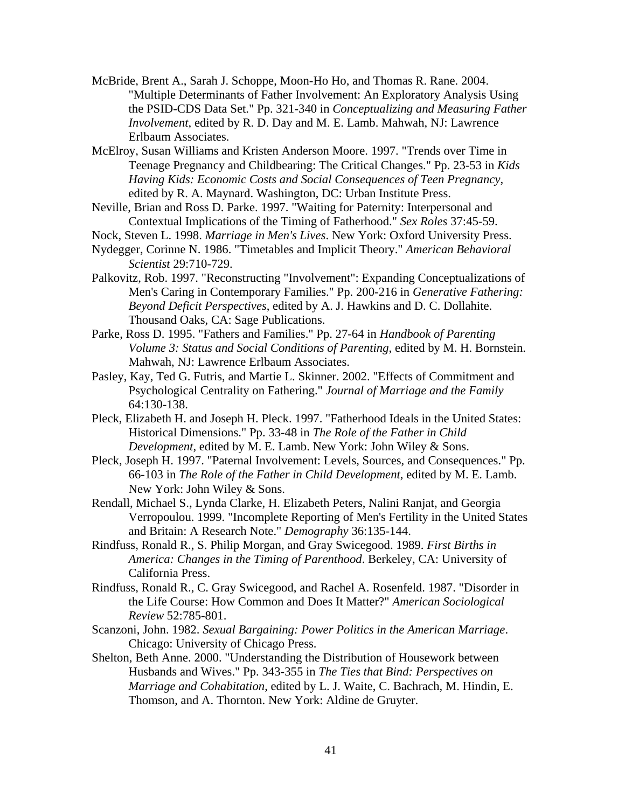- McBride, Brent A., Sarah J. Schoppe, Moon-Ho Ho, and Thomas R. Rane. 2004. "Multiple Determinants of Father Involvement: An Exploratory Analysis Using the PSID-CDS Data Set." Pp. 321-340 in *Conceptualizing and Measuring Father Involvement*, edited by R. D. Day and M. E. Lamb. Mahwah, NJ: Lawrence Erlbaum Associates.
- McElroy, Susan Williams and Kristen Anderson Moore. 1997. "Trends over Time in Teenage Pregnancy and Childbearing: The Critical Changes." Pp. 23-53 in *Kids Having Kids: Economic Costs and Social Consequences of Teen Pregnancy*, edited by R. A. Maynard. Washington, DC: Urban Institute Press.
- Neville, Brian and Ross D. Parke. 1997. "Waiting for Paternity: Interpersonal and Contextual Implications of the Timing of Fatherhood." *Sex Roles* 37:45-59.
- Nock, Steven L. 1998. *Marriage in Men's Lives*. New York: Oxford University Press.
- Nydegger, Corinne N. 1986. "Timetables and Implicit Theory." *American Behavioral Scientist* 29:710-729.
- Palkovitz, Rob. 1997. "Reconstructing "Involvement": Expanding Conceptualizations of Men's Caring in Contemporary Families." Pp. 200-216 in *Generative Fathering: Beyond Deficit Perspectives*, edited by A. J. Hawkins and D. C. Dollahite. Thousand Oaks, CA: Sage Publications.
- Parke, Ross D. 1995. "Fathers and Families." Pp. 27-64 in *Handbook of Parenting Volume 3: Status and Social Conditions of Parenting*, edited by M. H. Bornstein. Mahwah, NJ: Lawrence Erlbaum Associates.
- Pasley, Kay, Ted G. Futris, and Martie L. Skinner. 2002. "Effects of Commitment and Psychological Centrality on Fathering." *Journal of Marriage and the Family* 64:130-138.
- Pleck, Elizabeth H. and Joseph H. Pleck. 1997. "Fatherhood Ideals in the United States: Historical Dimensions." Pp. 33-48 in *The Role of the Father in Child Development*, edited by M. E. Lamb. New York: John Wiley & Sons.
- Pleck, Joseph H. 1997. "Paternal Involvement: Levels, Sources, and Consequences." Pp. 66-103 in *The Role of the Father in Child Development*, edited by M. E. Lamb. New York: John Wiley & Sons.
- Rendall, Michael S., Lynda Clarke, H. Elizabeth Peters, Nalini Ranjat, and Georgia Verropoulou. 1999. "Incomplete Reporting of Men's Fertility in the United States and Britain: A Research Note." *Demography* 36:135-144.
- Rindfuss, Ronald R., S. Philip Morgan, and Gray Swicegood. 1989. *First Births in America: Changes in the Timing of Parenthood*. Berkeley, CA: University of California Press.
- Rindfuss, Ronald R., C. Gray Swicegood, and Rachel A. Rosenfeld. 1987. "Disorder in the Life Course: How Common and Does It Matter?" *American Sociological Review* 52:785-801.
- Scanzoni, John. 1982. *Sexual Bargaining: Power Politics in the American Marriage*. Chicago: University of Chicago Press.
- Shelton, Beth Anne. 2000. "Understanding the Distribution of Housework between Husbands and Wives." Pp. 343-355 in *The Ties that Bind: Perspectives on Marriage and Cohabitation*, edited by L. J. Waite, C. Bachrach, M. Hindin, E. Thomson, and A. Thornton. New York: Aldine de Gruyter.